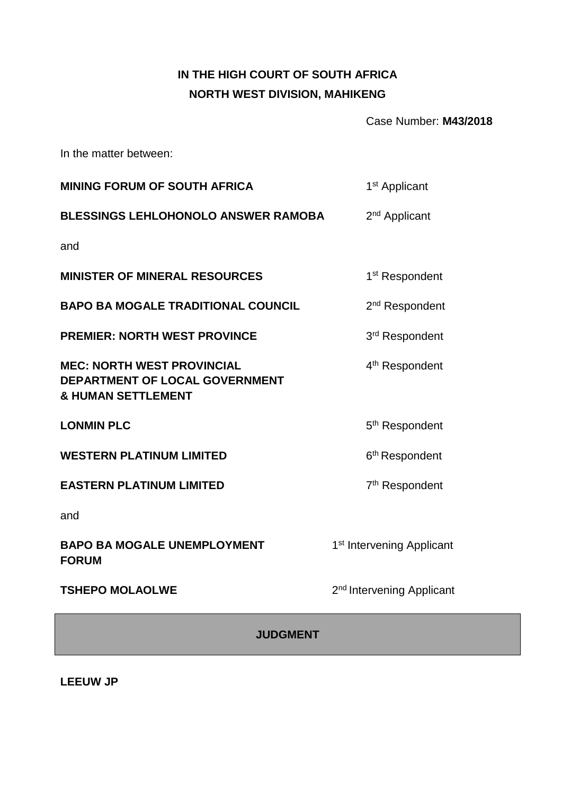# **IN THE HIGH COURT OF SOUTH AFRICA NORTH WEST DIVISION, MAHIKENG**

Case Number: **M43/2018**

In the matter between:

| <b>MINING FORUM OF SOUTH AFRICA</b>                                                                  | 1 <sup>st</sup> Applicant             |  |
|------------------------------------------------------------------------------------------------------|---------------------------------------|--|
| <b>BLESSINGS LEHLOHONOLO ANSWER RAMOBA</b>                                                           | 2 <sup>nd</sup> Applicant             |  |
| and                                                                                                  |                                       |  |
| <b>MINISTER OF MINERAL RESOURCES</b>                                                                 | 1 <sup>st</sup> Respondent            |  |
| <b>BAPO BA MOGALE TRADITIONAL COUNCIL</b>                                                            | 2 <sup>nd</sup> Respondent            |  |
| <b>PREMIER: NORTH WEST PROVINCE</b>                                                                  | 3rd Respondent                        |  |
| <b>MEC: NORTH WEST PROVINCIAL</b><br>DEPARTMENT OF LOCAL GOVERNMENT<br><b>&amp; HUMAN SETTLEMENT</b> | 4 <sup>th</sup> Respondent            |  |
| <b>LONMIN PLC</b>                                                                                    | 5 <sup>th</sup> Respondent            |  |
| <b>WESTERN PLATINUM LIMITED</b>                                                                      | 6 <sup>th</sup> Respondent            |  |
| <b>EASTERN PLATINUM LIMITED</b>                                                                      | 7 <sup>th</sup> Respondent            |  |
| and                                                                                                  |                                       |  |
| <b>BAPO BA MOGALE UNEMPLOYMENT</b><br><b>FORUM</b>                                                   | 1 <sup>st</sup> Intervening Applicant |  |
| <b>TSHEPO MOLAOLWE</b>                                                                               | 2 <sup>nd</sup> Intervening Applicant |  |
| <b>JUDGMENT</b>                                                                                      |                                       |  |

**LEEUW JP**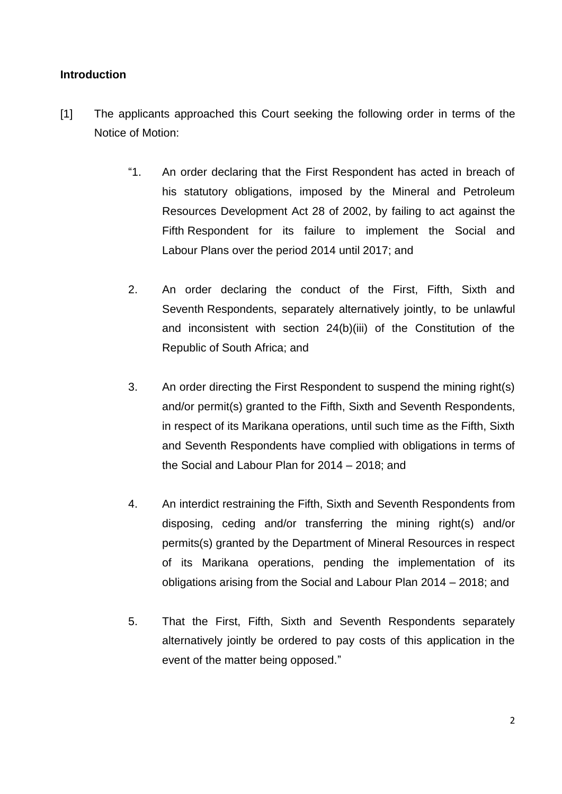### **Introduction**

- [1] The applicants approached this Court seeking the following order in terms of the Notice of Motion:
	- "1. An order declaring that the First Respondent has acted in breach of his statutory obligations, imposed by the Mineral and Petroleum Resources Development Act 28 of 2002, by failing to act against the Fifth Respondent for its failure to implement the Social and Labour Plans over the period 2014 until 2017; and
	- 2. An order declaring the conduct of the First, Fifth, Sixth and Seventh Respondents, separately alternatively jointly, to be unlawful and inconsistent with section 24(b)(iii) of the Constitution of the Republic of South Africa; and
	- 3. An order directing the First Respondent to suspend the mining right(s) and/or permit(s) granted to the Fifth, Sixth and Seventh Respondents, in respect of its Marikana operations, until such time as the Fifth, Sixth and Seventh Respondents have complied with obligations in terms of the Social and Labour Plan for 2014 – 2018; and
	- 4. An interdict restraining the Fifth, Sixth and Seventh Respondents from disposing, ceding and/or transferring the mining right(s) and/or permits(s) granted by the Department of Mineral Resources in respect of its Marikana operations, pending the implementation of its obligations arising from the Social and Labour Plan 2014 – 2018; and
	- 5. That the First, Fifth, Sixth and Seventh Respondents separately alternatively jointly be ordered to pay costs of this application in the event of the matter being opposed."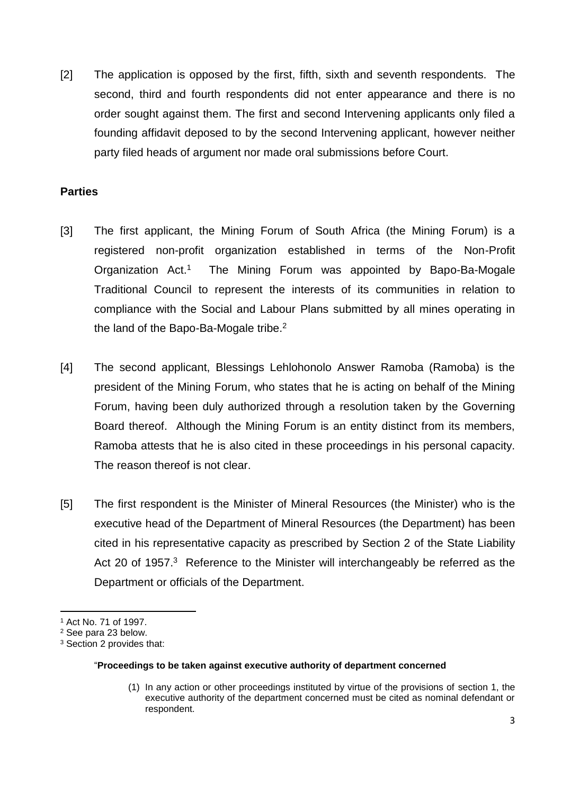[2] The application is opposed by the first, fifth, sixth and seventh respondents. The second, third and fourth respondents did not enter appearance and there is no order sought against them. The first and second Intervening applicants only filed a founding affidavit deposed to by the second Intervening applicant, however neither party filed heads of argument nor made oral submissions before Court.

# **Parties**

- [3] The first applicant, the Mining Forum of South Africa (the Mining Forum) is a registered non-profit organization established in terms of the Non-Profit Organization Act.<sup>1</sup> The Mining Forum was appointed by Bapo-Ba-Mogale Traditional Council to represent the interests of its communities in relation to compliance with the Social and Labour Plans submitted by all mines operating in the land of the Bapo-Ba-Mogale tribe.<sup>2</sup>
- [4] The second applicant, Blessings Lehlohonolo Answer Ramoba (Ramoba) is the president of the Mining Forum, who states that he is acting on behalf of the Mining Forum, having been duly authorized through a resolution taken by the Governing Board thereof. Although the Mining Forum is an entity distinct from its members, Ramoba attests that he is also cited in these proceedings in his personal capacity. The reason thereof is not clear.
- [5] The first respondent is the Minister of Mineral Resources (the Minister) who is the executive head of the Department of Mineral Resources (the Department) has been cited in his representative capacity as prescribed by Section 2 of the State Liability Act 20 of 1957.<sup>3</sup> Reference to the Minister will interchangeably be referred as the Department or officials of the Department.

l

#### "**Proceedings to be taken against executive authority of department concerned**

(1) In any action or other proceedings instituted by virtue of the provisions of section 1, the executive authority of the department concerned must be cited as nominal defendant or respondent.

<sup>1</sup> Act No. 71 of 1997.

<sup>2</sup> See para 23 below.

<sup>3</sup> Section 2 provides that: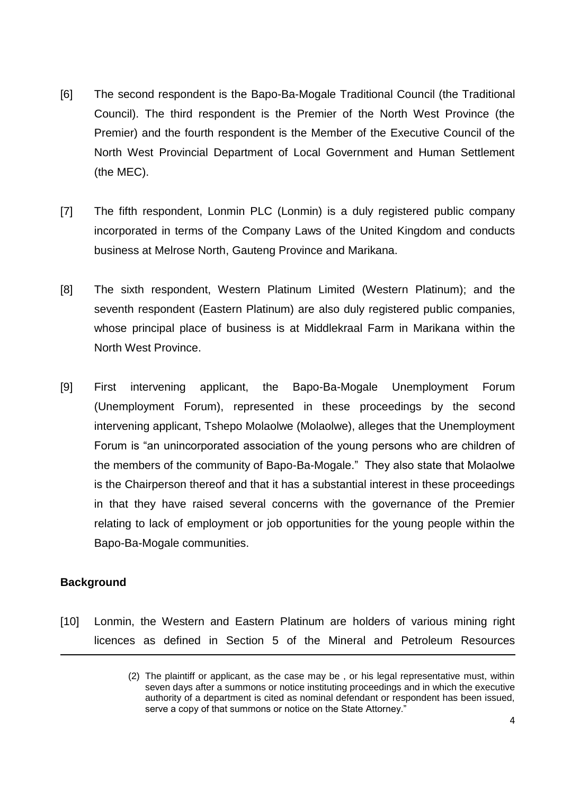- [6] The second respondent is the Bapo-Ba-Mogale Traditional Council (the Traditional Council). The third respondent is the Premier of the North West Province (the Premier) and the fourth respondent is the Member of the Executive Council of the North West Provincial Department of Local Government and Human Settlement (the MEC).
- [7] The fifth respondent, Lonmin PLC (Lonmin) is a duly registered public company incorporated in terms of the Company Laws of the United Kingdom and conducts business at Melrose North, Gauteng Province and Marikana.
- [8] The sixth respondent, Western Platinum Limited (Western Platinum); and the seventh respondent (Eastern Platinum) are also duly registered public companies, whose principal place of business is at Middlekraal Farm in Marikana within the North West Province.
- [9] First intervening applicant, the Bapo-Ba-Mogale Unemployment Forum (Unemployment Forum), represented in these proceedings by the second intervening applicant, Tshepo Molaolwe (Molaolwe), alleges that the Unemployment Forum is "an unincorporated association of the young persons who are children of the members of the community of Bapo-Ba-Mogale." They also state that Molaolwe is the Chairperson thereof and that it has a substantial interest in these proceedings in that they have raised several concerns with the governance of the Premier relating to lack of employment or job opportunities for the young people within the Bapo-Ba-Mogale communities.

# **Background**

 $\overline{\phantom{a}}$ 

[10] Lonmin, the Western and Eastern Platinum are holders of various mining right licences as defined in Section 5 of the Mineral and Petroleum Resources

<sup>(2)</sup> The plaintiff or applicant, as the case may be , or his legal representative must, within seven days after a summons or notice instituting proceedings and in which the executive authority of a department is cited as nominal defendant or respondent has been issued, serve a copy of that summons or notice on the State Attorney."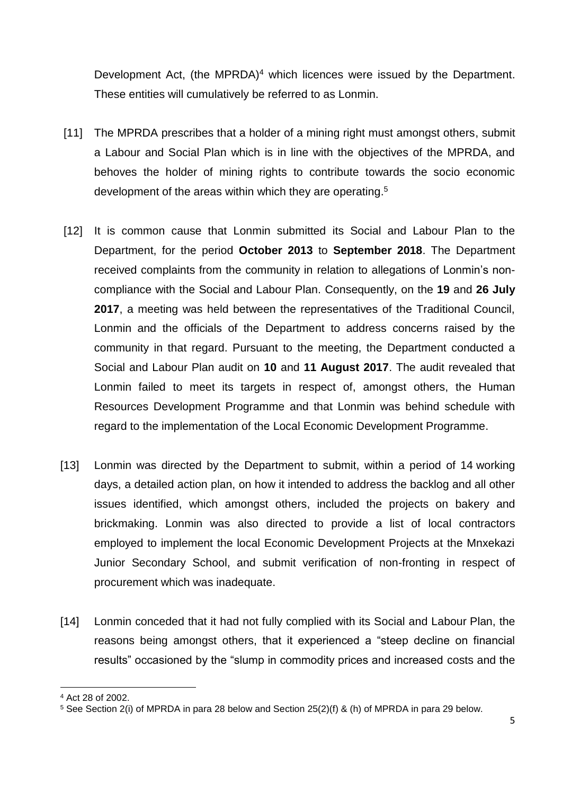Development Act, (the MPRDA)<sup>4</sup> which licences were issued by the Department. These entities will cumulatively be referred to as Lonmin.

- [11] The MPRDA prescribes that a holder of a mining right must amongst others, submit a Labour and Social Plan which is in line with the objectives of the MPRDA, and behoves the holder of mining rights to contribute towards the socio economic development of the areas within which they are operating.<sup>5</sup>
- [12] It is common cause that Lonmin submitted its Social and Labour Plan to the Department, for the period **October 2013** to **September 2018**. The Department received complaints from the community in relation to allegations of Lonmin's noncompliance with the Social and Labour Plan. Consequently, on the **19** and **26 July 2017**, a meeting was held between the representatives of the Traditional Council, Lonmin and the officials of the Department to address concerns raised by the community in that regard. Pursuant to the meeting, the Department conducted a Social and Labour Plan audit on **10** and **11 August 2017**. The audit revealed that Lonmin failed to meet its targets in respect of, amongst others, the Human Resources Development Programme and that Lonmin was behind schedule with regard to the implementation of the Local Economic Development Programme.
- [13] Lonmin was directed by the Department to submit, within a period of 14 working days, a detailed action plan, on how it intended to address the backlog and all other issues identified, which amongst others, included the projects on bakery and brickmaking. Lonmin was also directed to provide a list of local contractors employed to implement the local Economic Development Projects at the Mnxekazi Junior Secondary School, and submit verification of non-fronting in respect of procurement which was inadequate.
- [14] Lonmin conceded that it had not fully complied with its Social and Labour Plan, the reasons being amongst others, that it experienced a "steep decline on financial results" occasioned by the "slump in commodity prices and increased costs and the

 $\overline{a}$ <sup>4</sup> Act 28 of 2002.

 $5$  See Section 2(i) of MPRDA in para 28 below and Section 25(2)(f) & (h) of MPRDA in para 29 below.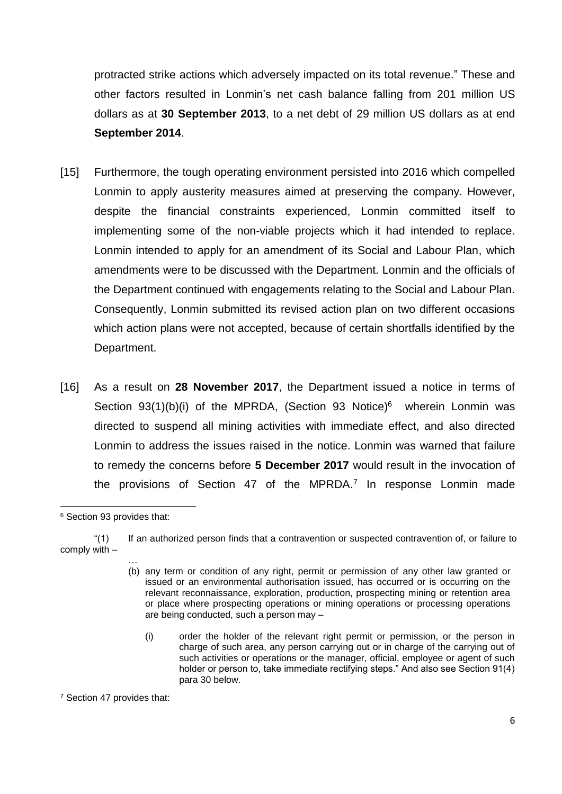protracted strike actions which adversely impacted on its total revenue." These and other factors resulted in Lonmin's net cash balance falling from 201 million US dollars as at **30 September 2013**, to a net debt of 29 million US dollars as at end **September 2014**.

- [15] Furthermore, the tough operating environment persisted into 2016 which compelled Lonmin to apply austerity measures aimed at preserving the company. However, despite the financial constraints experienced, Lonmin committed itself to implementing some of the non-viable projects which it had intended to replace. Lonmin intended to apply for an amendment of its Social and Labour Plan, which amendments were to be discussed with the Department. Lonmin and the officials of the Department continued with engagements relating to the Social and Labour Plan. Consequently, Lonmin submitted its revised action plan on two different occasions which action plans were not accepted, because of certain shortfalls identified by the Department.
- [16] As a result on **28 November 2017**, the Department issued a notice in terms of Section 93(1)(b)(i) of the MPRDA, (Section 93 Notice)<sup>6</sup> wherein Lonmin was directed to suspend all mining activities with immediate effect, and also directed Lonmin to address the issues raised in the notice. Lonmin was warned that failure to remedy the concerns before **5 December 2017** would result in the invocation of the provisions of Section 47 of the MPRDA.<sup>7</sup> In response Lonmin made

 $\overline{\phantom{a}}$ 

<sup>7</sup> Section 47 provides that:

<sup>6</sup> Section 93 provides that:

<sup>&</sup>quot;(1) If an authorized person finds that a contravention or suspected contravention of, or failure to comply with – …

<sup>(</sup>b) any term or condition of any right, permit or permission of any other law granted or issued or an environmental authorisation issued, has occurred or is occurring on the relevant reconnaissance, exploration, production, prospecting mining or retention area or place where prospecting operations or mining operations or processing operations are being conducted, such a person may –

<sup>(</sup>i) order the holder of the relevant right permit or permission, or the person in charge of such area, any person carrying out or in charge of the carrying out of such activities or operations or the manager, official, employee or agent of such holder or person to, take immediate rectifying steps." And also see Section 91(4) para 30 below.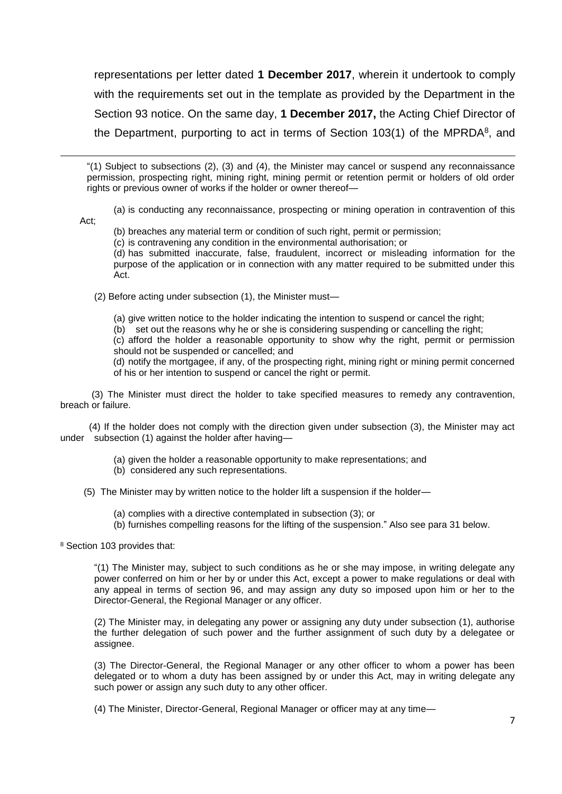representations per letter dated **1 December 2017**, wherein it undertook to comply with the requirements set out in the template as provided by the Department in the Section 93 notice. On the same day, **1 December 2017,** the Acting Chief Director of the Department, purporting to act in terms of Section  $103(1)$  of the MPRDA<sup>8</sup>, and

"(1) Subject to subsections (2), (3) and (4), the Minister may cancel or suspend any reconnaissance permission, prospecting right, mining right, mining permit or retention permit or holders of old order rights or previous owner of works if the holder or owner thereof—

(a) is conducting any reconnaissance, prospecting or mining operation in contravention of this

Act;

 $\overline{a}$ 

(b) breaches any material term or condition of such right, permit or permission;

(c) is contravening any condition in the environmental authorisation; or

(d) has submitted inaccurate, false, fraudulent, incorrect or misleading information for the purpose of the application or in connection with any matter required to be submitted under this Act.

(2) Before acting under subsection (1), the Minister must—

(a) give written notice to the holder indicating the intention to suspend or cancel the right;

(b) set out the reasons why he or she is considering suspending or cancelling the right;

(c) afford the holder a reasonable opportunity to show why the right, permit or permission should not be suspended or cancelled; and

(d) notify the mortgagee, if any, of the prospecting right, mining right or mining permit concerned of his or her intention to suspend or cancel the right or permit.

 (3) The Minister must direct the holder to take specified measures to remedy any contravention, breach or failure.

 (4) If the holder does not comply with the direction given under subsection (3), the Minister may act under subsection (1) against the holder after having-

- (a) given the holder a reasonable opportunity to make representations; and
- (b) considered any such representations.

(5) The Minister may by written notice to the holder lift a suspension if the holder—

- (a) complies with a directive contemplated in subsection (3); or
- (b) furnishes compelling reasons for the lifting of the suspension." Also see para 31 below.

<sup>8</sup> Section 103 provides that:

"(1) The Minister may, subject to such conditions as he or she may impose, in writing delegate any power conferred on him or her by or under this Act, except a power to make regulations or deal with any appeal in terms of section 96, and may assign any duty so imposed upon him or her to the Director-General, the Regional Manager or any officer.

(2) The Minister may, in delegating any power or assigning any duty under subsection (1), authorise the further delegation of such power and the further assignment of such duty by a delegatee or assignee.

(3) The Director-General, the Regional Manager or any other officer to whom a power has been delegated or to whom a duty has been assigned by or under this Act, may in writing delegate any such power or assign any such duty to any other officer.

(4) The Minister, Director-General, Regional Manager or officer may at any time—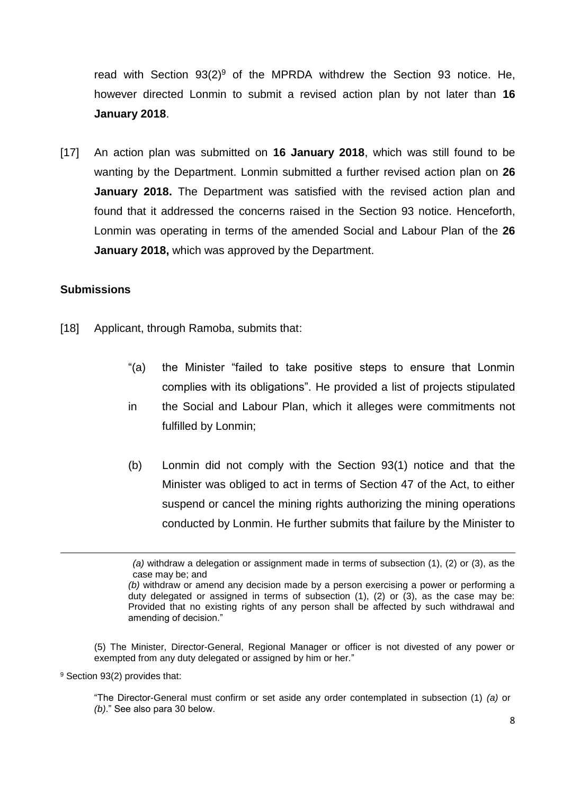read with Section 93(2)<sup>9</sup> of the MPRDA withdrew the Section 93 notice. He, however directed Lonmin to submit a revised action plan by not later than **16 January 2018**.

[17] An action plan was submitted on **16 January 2018**, which was still found to be wanting by the Department. Lonmin submitted a further revised action plan on **26 January 2018.** The Department was satisfied with the revised action plan and found that it addressed the concerns raised in the Section 93 notice. Henceforth, Lonmin was operating in terms of the amended Social and Labour Plan of the **26 January 2018,** which was approved by the Department.

#### **Submissions**

- [18] Applicant, through Ramoba, submits that:
	- "(a) the Minister "failed to take positive steps to ensure that Lonmin complies with its obligations". He provided a list of projects stipulated
	- in the Social and Labour Plan, which it alleges were commitments not fulfilled by Lonmin;
	- (b) Lonmin did not comply with the Section 93(1) notice and that the Minister was obliged to act in terms of Section 47 of the Act, to either suspend or cancel the mining rights authorizing the mining operations conducted by Lonmin. He further submits that failure by the Minister to

(5) The Minister, Director-General, Regional Manager or officer is not divested of any power or exempted from any duty delegated or assigned by him or her."

<sup>9</sup> Section 93(2) provides that:

 $\overline{a}$ 

"The Director-General must confirm or set aside any order contemplated in subsection (1) *(a)* or *(b)*." See also para 30 below.

*<sup>(</sup>a)* withdraw a delegation or assignment made in terms of subsection (1), (2) or (3), as the case may be; and

*<sup>(</sup>b)* withdraw or amend any decision made by a person exercising a power or performing a duty delegated or assigned in terms of subsection  $(1)$ ,  $(2)$  or  $(3)$ , as the case may be: Provided that no existing rights of any person shall be affected by such withdrawal and amending of decision."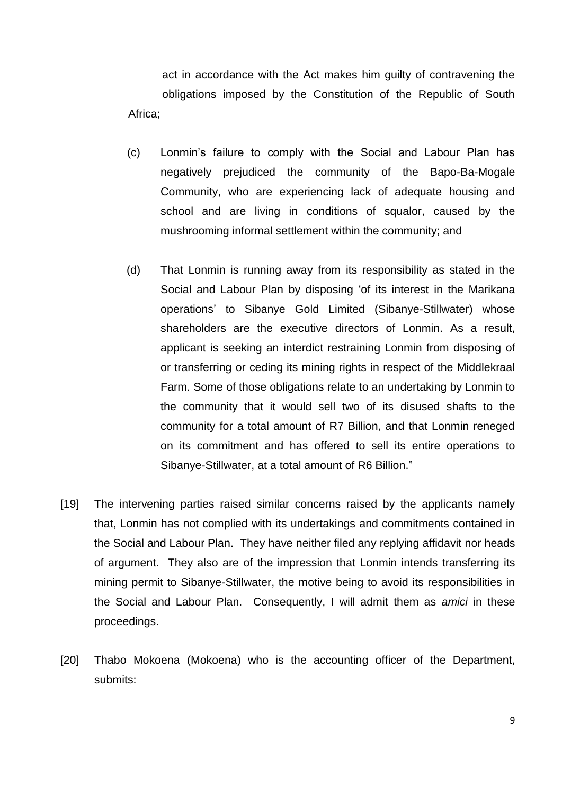act in accordance with the Act makes him guilty of contravening the obligations imposed by the Constitution of the Republic of South Africa;

- (c) Lonmin's failure to comply with the Social and Labour Plan has negatively prejudiced the community of the Bapo-Ba-Mogale Community, who are experiencing lack of adequate housing and school and are living in conditions of squalor, caused by the mushrooming informal settlement within the community; and
- (d) That Lonmin is running away from its responsibility as stated in the Social and Labour Plan by disposing 'of its interest in the Marikana operations' to Sibanye Gold Limited (Sibanye-Stillwater) whose shareholders are the executive directors of Lonmin. As a result, applicant is seeking an interdict restraining Lonmin from disposing of or transferring or ceding its mining rights in respect of the Middlekraal Farm. Some of those obligations relate to an undertaking by Lonmin to the community that it would sell two of its disused shafts to the community for a total amount of R7 Billion, and that Lonmin reneged on its commitment and has offered to sell its entire operations to Sibanye-Stillwater, at a total amount of R6 Billion."
- [19] The intervening parties raised similar concerns raised by the applicants namely that, Lonmin has not complied with its undertakings and commitments contained in the Social and Labour Plan. They have neither filed any replying affidavit nor heads of argument. They also are of the impression that Lonmin intends transferring its mining permit to Sibanye-Stillwater, the motive being to avoid its responsibilities in the Social and Labour Plan. Consequently, I will admit them as *amici* in these proceedings.
- [20] Thabo Mokoena (Mokoena) who is the accounting officer of the Department, submits: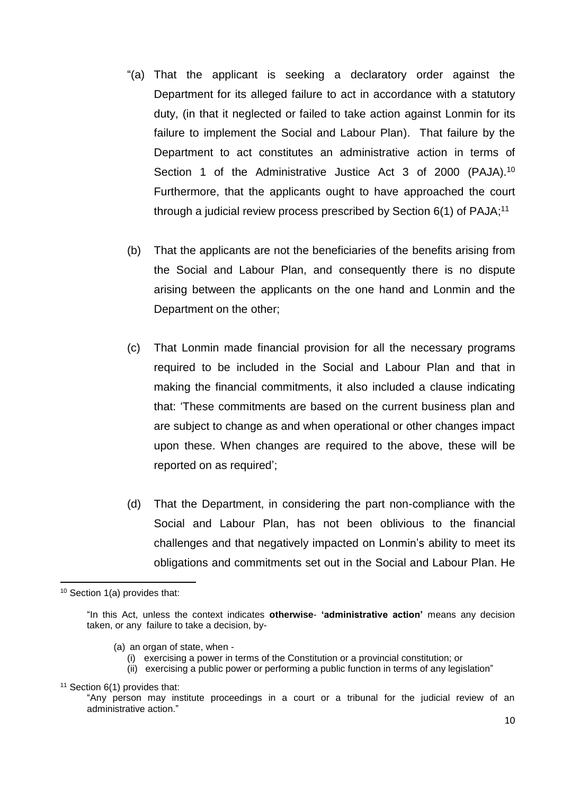- "(a) That the applicant is seeking a declaratory order against the Department for its alleged failure to act in accordance with a statutory duty, (in that it neglected or failed to take action against Lonmin for its failure to implement the Social and Labour Plan). That failure by the Department to act constitutes an administrative action in terms of Section 1 of the Administrative Justice Act 3 of 2000 (PAJA).<sup>10</sup> Furthermore, that the applicants ought to have approached the court through a judicial review process prescribed by Section  $6(1)$  of PAJA;<sup>11</sup>
- (b) That the applicants are not the beneficiaries of the benefits arising from the Social and Labour Plan, and consequently there is no dispute arising between the applicants on the one hand and Lonmin and the Department on the other;
- (c) That Lonmin made financial provision for all the necessary programs required to be included in the Social and Labour Plan and that in making the financial commitments, it also included a clause indicating that: 'These commitments are based on the current business plan and are subject to change as and when operational or other changes impact upon these. When changes are required to the above, these will be reported on as required';
- (d) That the Department, in considering the part non-compliance with the Social and Labour Plan, has not been oblivious to the financial challenges and that negatively impacted on Lonmin's ability to meet its obligations and commitments set out in the Social and Labour Plan. He

- (a) an organ of state, when
	- (i) exercising a power in terms of the Constitution or a provincial constitution; or
	- (ii) exercising a public power or performing a public function in terms of any legislation"

<sup>10</sup> Section 1(a) provides that:

<sup>&</sup>quot;In this Act, unless the context indicates **otherwise**- **'administrative action'** means any decision taken, or any failure to take a decision, by-

 $11$  Section 6(1) provides that:

<sup>&</sup>quot;Any person may institute proceedings in a court or a tribunal for the judicial review of an administrative action."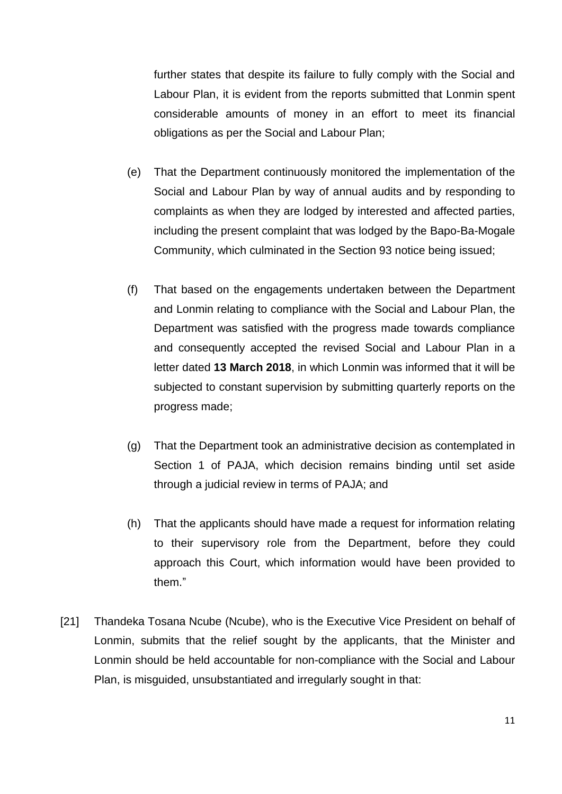further states that despite its failure to fully comply with the Social and Labour Plan, it is evident from the reports submitted that Lonmin spent considerable amounts of money in an effort to meet its financial obligations as per the Social and Labour Plan;

- (e) That the Department continuously monitored the implementation of the Social and Labour Plan by way of annual audits and by responding to complaints as when they are lodged by interested and affected parties, including the present complaint that was lodged by the Bapo-Ba-Mogale Community, which culminated in the Section 93 notice being issued;
- (f) That based on the engagements undertaken between the Department and Lonmin relating to compliance with the Social and Labour Plan, the Department was satisfied with the progress made towards compliance and consequently accepted the revised Social and Labour Plan in a letter dated **13 March 2018**, in which Lonmin was informed that it will be subjected to constant supervision by submitting quarterly reports on the progress made;
- (g) That the Department took an administrative decision as contemplated in Section 1 of PAJA, which decision remains binding until set aside through a judicial review in terms of PAJA; and
- (h) That the applicants should have made a request for information relating to their supervisory role from the Department, before they could approach this Court, which information would have been provided to them."
- [21] Thandeka Tosana Ncube (Ncube), who is the Executive Vice President on behalf of Lonmin, submits that the relief sought by the applicants, that the Minister and Lonmin should be held accountable for non-compliance with the Social and Labour Plan, is misguided, unsubstantiated and irregularly sought in that: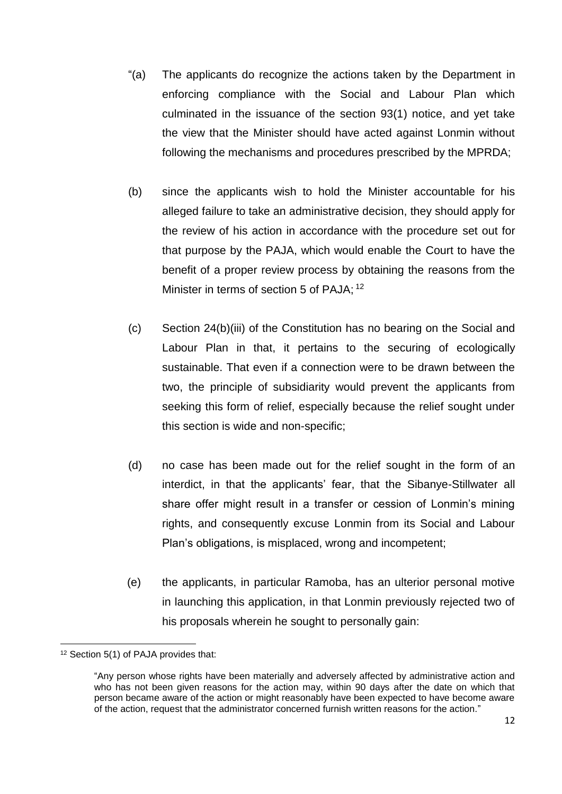- "(a) The applicants do recognize the actions taken by the Department in enforcing compliance with the Social and Labour Plan which culminated in the issuance of the section 93(1) notice, and yet take the view that the Minister should have acted against Lonmin without following the mechanisms and procedures prescribed by the MPRDA;
- (b) since the applicants wish to hold the Minister accountable for his alleged failure to take an administrative decision, they should apply for the review of his action in accordance with the procedure set out for that purpose by the PAJA, which would enable the Court to have the benefit of a proper review process by obtaining the reasons from the Minister in terms of section 5 of PAJA; <sup>12</sup>
- (c) Section 24(b)(iii) of the Constitution has no bearing on the Social and Labour Plan in that, it pertains to the securing of ecologically sustainable. That even if a connection were to be drawn between the two, the principle of subsidiarity would prevent the applicants from seeking this form of relief, especially because the relief sought under this section is wide and non-specific;
- (d) no case has been made out for the relief sought in the form of an interdict, in that the applicants' fear, that the Sibanye-Stillwater all share offer might result in a transfer or cession of Lonmin's mining rights, and consequently excuse Lonmin from its Social and Labour Plan's obligations, is misplaced, wrong and incompetent;
- (e) the applicants, in particular Ramoba, has an ulterior personal motive in launching this application, in that Lonmin previously rejected two of his proposals wherein he sought to personally gain:

 $\overline{\phantom{a}}$ <sup>12</sup> Section 5(1) of PAJA provides that:

<sup>&</sup>quot;Any person whose rights have been materially and adversely affected by administrative action and who has not been given reasons for the action may, within 90 days after the date on which that person became aware of the action or might reasonably have been expected to have become aware of the action, request that the administrator concerned furnish written reasons for the action."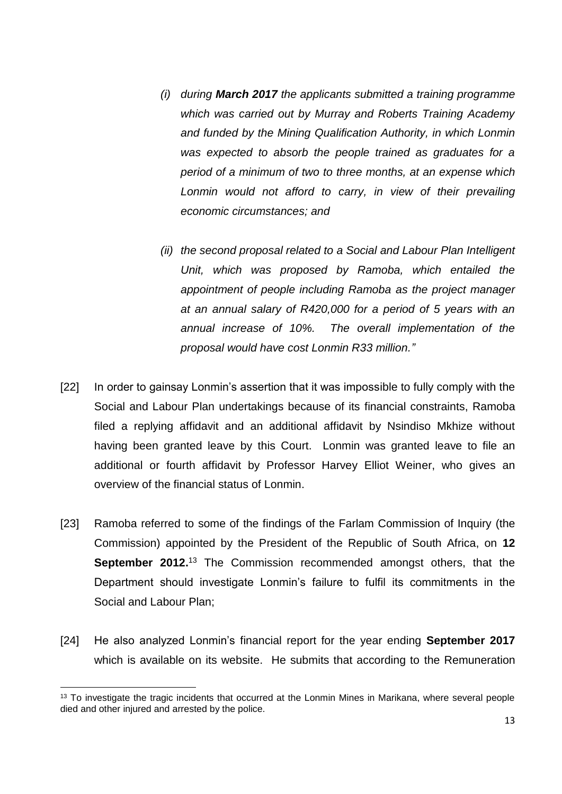- *(i) during March 2017 the applicants submitted a training programme which was carried out by Murray and Roberts Training Academy and funded by the Mining Qualification Authority, in which Lonmin was expected to absorb the people trained as graduates for a period of a minimum of two to three months, at an expense which Lonmin would not afford to carry, in view of their prevailing economic circumstances; and*
- *(ii) the second proposal related to a Social and Labour Plan Intelligent Unit, which was proposed by Ramoba, which entailed the appointment of people including Ramoba as the project manager at an annual salary of R420,000 for a period of 5 years with an annual increase of 10%. The overall implementation of the proposal would have cost Lonmin R33 million."*
- [22] In order to gainsay Lonmin's assertion that it was impossible to fully comply with the Social and Labour Plan undertakings because of its financial constraints, Ramoba filed a replying affidavit and an additional affidavit by Nsindiso Mkhize without having been granted leave by this Court. Lonmin was granted leave to file an additional or fourth affidavit by Professor Harvey Elliot Weiner, who gives an overview of the financial status of Lonmin.
- [23] Ramoba referred to some of the findings of the Farlam Commission of Inquiry (the Commission) appointed by the President of the Republic of South Africa, on **12 September 2012.**<sup>13</sup> The Commission recommended amongst others, that the Department should investigate Lonmin's failure to fulfil its commitments in the Social and Labour Plan;
- [24] He also analyzed Lonmin's financial report for the year ending **September 2017** which is available on its website. He submits that according to the Remuneration

 $\overline{a}$ 

<sup>&</sup>lt;sup>13</sup> To investigate the tragic incidents that occurred at the Lonmin Mines in Marikana, where several people died and other injured and arrested by the police.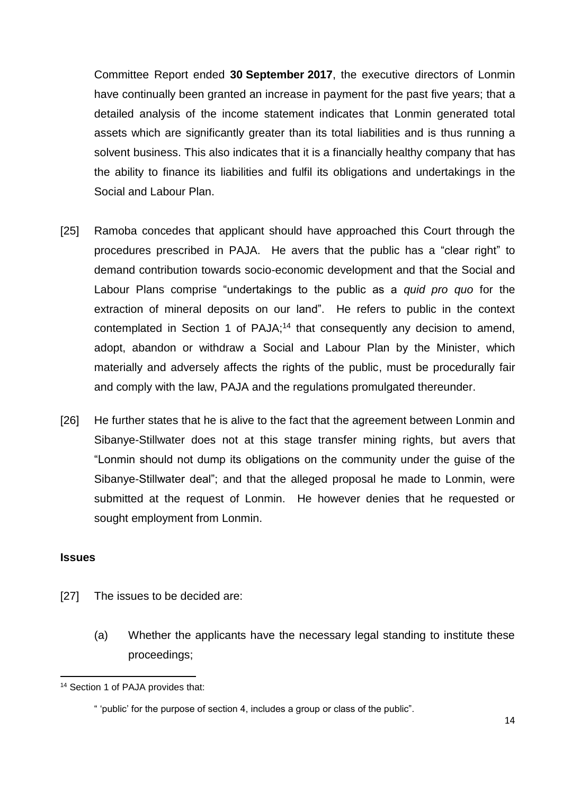Committee Report ended **30 September 2017**, the executive directors of Lonmin have continually been granted an increase in payment for the past five years; that a detailed analysis of the income statement indicates that Lonmin generated total assets which are significantly greater than its total liabilities and is thus running a solvent business. This also indicates that it is a financially healthy company that has the ability to finance its liabilities and fulfil its obligations and undertakings in the Social and Labour Plan.

- [25] Ramoba concedes that applicant should have approached this Court through the procedures prescribed in PAJA. He avers that the public has a "clear right" to demand contribution towards socio-economic development and that the Social and Labour Plans comprise "undertakings to the public as a *quid pro quo* for the extraction of mineral deposits on our land". He refers to public in the context contemplated in Section 1 of PAJA;<sup>14</sup> that consequently any decision to amend, adopt, abandon or withdraw a Social and Labour Plan by the Minister, which materially and adversely affects the rights of the public, must be procedurally fair and comply with the law, PAJA and the regulations promulgated thereunder.
- [26] He further states that he is alive to the fact that the agreement between Lonmin and Sibanye-Stillwater does not at this stage transfer mining rights, but avers that "Lonmin should not dump its obligations on the community under the guise of the Sibanye-Stillwater deal"; and that the alleged proposal he made to Lonmin, were submitted at the request of Lonmin. He however denies that he requested or sought employment from Lonmin.

#### **Issues**

- [27] The issues to be decided are:
	- (a) Whether the applicants have the necessary legal standing to institute these proceedings;

 $\overline{\phantom{a}}$ <sup>14</sup> Section 1 of PAJA provides that:

<sup>&</sup>quot; 'public' for the purpose of section 4, includes a group or class of the public".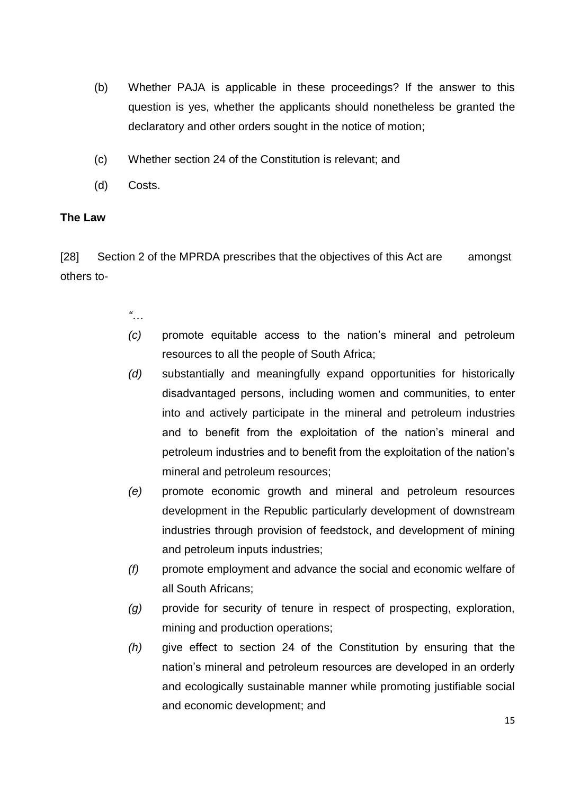- (b) Whether PAJA is applicable in these proceedings? If the answer to this question is yes, whether the applicants should nonetheless be granted the declaratory and other orders sought in the notice of motion;
- (c) Whether section 24 of the Constitution is relevant; and
- (d) Costs.

## **The Law**

[28] Section 2 of the MPRDA prescribes that the objectives of this Act are amongst others to-

- *"…*
- *(c)* promote equitable access to the nation's mineral and petroleum resources to all the people of South Africa;
- *(d)* substantially and meaningfully expand opportunities for historically disadvantaged persons, including women and communities, to enter into and actively participate in the mineral and petroleum industries and to benefit from the exploitation of the nation's mineral and petroleum industries and to benefit from the exploitation of the nation's mineral and petroleum resources;
- *(e)* promote economic growth and mineral and petroleum resources development in the Republic particularly development of downstream industries through provision of feedstock, and development of mining and petroleum inputs industries;
- *(f)* promote employment and advance the social and economic welfare of all South Africans;
- *(g)* provide for security of tenure in respect of prospecting, exploration, mining and production operations;
- *(h)* give effect to section 24 of the Constitution by ensuring that the nation's mineral and petroleum resources are developed in an orderly and ecologically sustainable manner while promoting justifiable social and economic development; and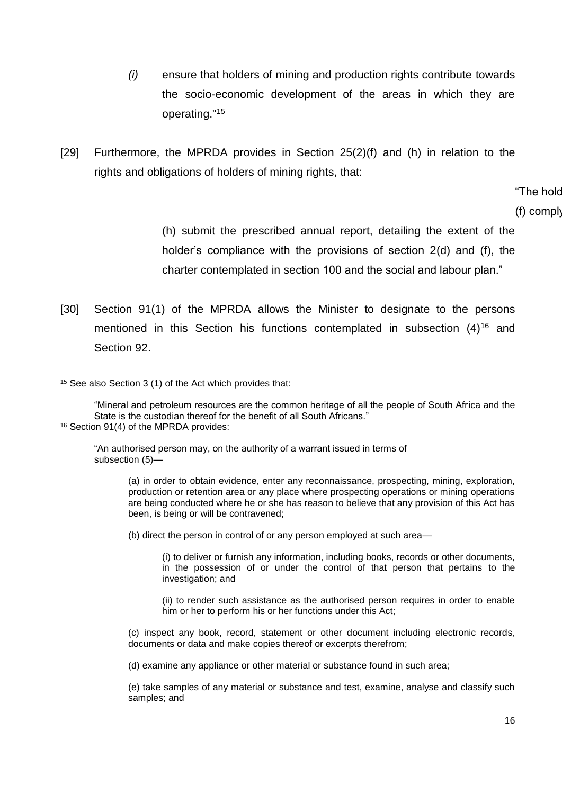- *(i)* ensure that holders of mining and production rights contribute towards the socio-economic development of the areas in which they are operating."<sup>15</sup>
- [29] Furthermore, the MPRDA provides in Section 25(2)(f) and (h) in relation to the rights and obligations of holders of mining rights, that:

# "The hold

#### $(f)$  comply

(h) submit the prescribed annual report, detailing the extent of the holder's compliance with the provisions of section 2(d) and (f), the charter contemplated in section 100 and the social and labour plan."

[30] Section 91(1) of the MPRDA allows the Minister to designate to the persons mentioned in this Section his functions contemplated in subsection  $(4)^{16}$  and Section 92.

"An authorised person may, on the authority of a warrant issued in terms of subsection (5)—

> (a) in order to obtain evidence, enter any reconnaissance, prospecting, mining, exploration, production or retention area or any place where prospecting operations or mining operations are being conducted where he or she has reason to believe that any provision of this Act has been, is being or will be contravened;

(b) direct the person in control of or any person employed at such area—

(i) to deliver or furnish any information, including books, records or other documents, in the possession of or under the control of that person that pertains to the investigation; and

(ii) to render such assistance as the authorised person requires in order to enable him or her to perform his or her functions under this Act;

(d) examine any appliance or other material or substance found in such area;

(e) take samples of any material or substance and test, examine, analyse and classify such samples; and

 $\overline{\phantom{a}}$ <sup>15</sup> See also Section 3 (1) of the Act which provides that:

<sup>&</sup>quot;Mineral and petroleum resources are the common heritage of all the people of South Africa and the State is the custodian thereof for the benefit of all South Africans." 16 Section 91(4) of the MPRDA provides:

<sup>(</sup>c) inspect any book, record, statement or other document including electronic records, documents or data and make copies thereof or excerpts therefrom;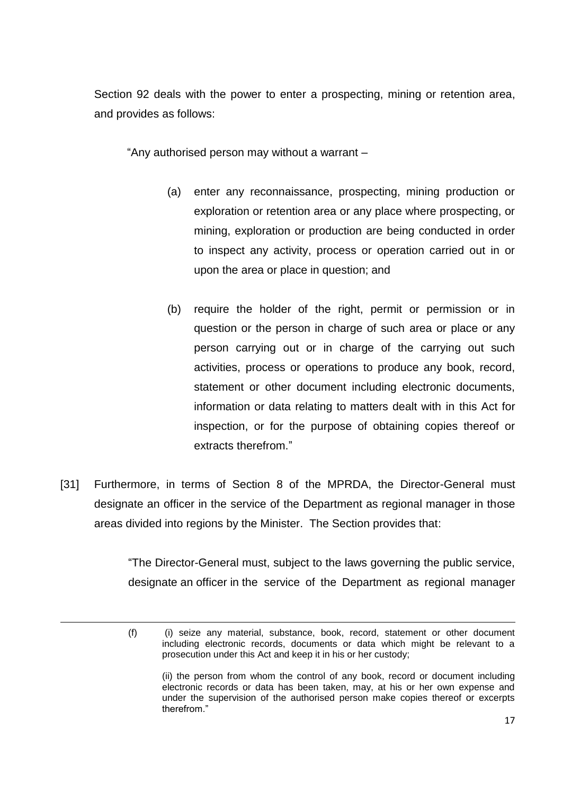Section 92 deals with the power to enter a prospecting, mining or retention area, and provides as follows:

"Any authorised person may without a warrant –

- (a) enter any reconnaissance, prospecting, mining production or exploration or retention area or any place where prospecting, or mining, exploration or production are being conducted in order to inspect any activity, process or operation carried out in or upon the area or place in question; and
- (b) require the holder of the right, permit or permission or in question or the person in charge of such area or place or any person carrying out or in charge of the carrying out such activities, process or operations to produce any book, record, statement or other document including electronic documents, information or data relating to matters dealt with in this Act for inspection, or for the purpose of obtaining copies thereof or extracts therefrom."
- [31] Furthermore, in terms of Section 8 of the MPRDA, the Director-General must designate an officer in the service of the Department as regional manager in those areas divided into regions by the Minister. The Section provides that:

 $\overline{a}$ 

"The Director-General must, subject to the laws governing the public service, designate an officer in the service of the Department as regional manager

(ii) the person from whom the control of any book, record or document including electronic records or data has been taken, may, at his or her own expense and under the supervision of the authorised person make copies thereof or excerpts therefrom."

<sup>(</sup>f) (i) seize any material, substance, book, record, statement or other document including electronic records, documents or data which might be relevant to a prosecution under this Act and keep it in his or her custody;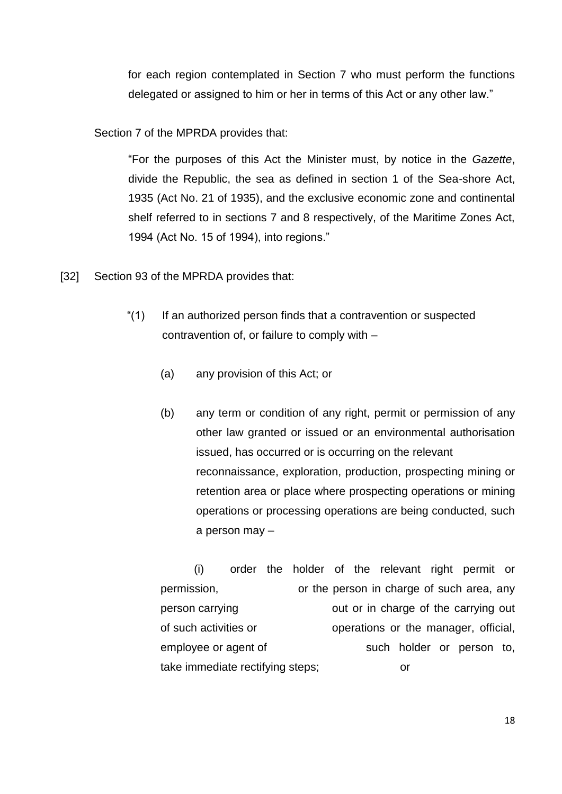for each region contemplated in Section 7 who must perform the functions delegated or assigned to him or her in terms of this Act or any other law."

Section 7 of the MPRDA provides that:

"For the purposes of this Act the Minister must, by notice in the *Gazette*, divide the Republic, the sea as defined in section 1 of the Sea-shore Act, 1935 (Act No. 21 of 1935), and the exclusive economic zone and continental shelf referred to in sections 7 and 8 respectively, of the Maritime Zones Act, 1994 (Act No. 15 of 1994), into regions."

- [32] Section 93 of the MPRDA provides that:
	- "(1) If an authorized person finds that a contravention or suspected contravention of, or failure to comply with –
		- (a) any provision of this Act; or
		- (b) any term or condition of any right, permit or permission of any other law granted or issued or an environmental authorisation issued, has occurred or is occurring on the relevant reconnaissance, exploration, production, prospecting mining or retention area or place where prospecting operations or mining operations or processing operations are being conducted, such a person may –

(i) order the holder of the relevant right permit or permission, or the person in charge of such area, any person carrying out or in charge of the carrying out of such activities or operations or the manager, official, employee or agent of such holder or person to, take immediate rectifying steps; or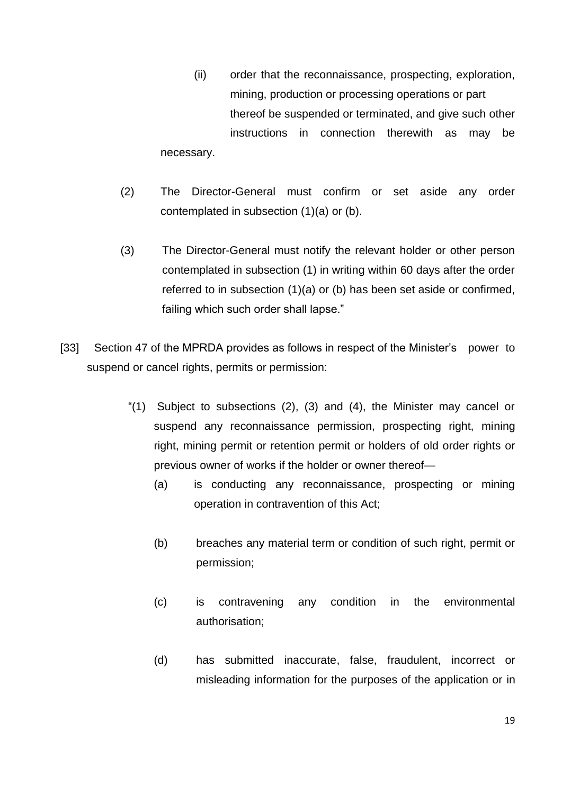- (ii) order that the reconnaissance, prospecting, exploration, mining, production or processing operations or part thereof be suspended or terminated, and give such other instructions in connection therewith as may be necessary.
- (2) The Director-General must confirm or set aside any order contemplated in subsection (1)(a) or (b).
- (3) The Director-General must notify the relevant holder or other person contemplated in subsection (1) in writing within 60 days after the order referred to in subsection (1)(a) or (b) has been set aside or confirmed, failing which such order shall lapse."
- [33] Section 47 of the MPRDA provides as follows in respect of the Minister's power to suspend or cancel rights, permits or permission:
	- "(1) Subject to subsections (2), (3) and (4), the Minister may cancel or suspend any reconnaissance permission, prospecting right, mining right, mining permit or retention permit or holders of old order rights or previous owner of works if the holder or owner thereof—
		- (a) is conducting any reconnaissance, prospecting or mining operation in contravention of this Act;
		- (b) breaches any material term or condition of such right, permit or permission;
		- (c) is contravening any condition in the environmental authorisation;
		- (d) has submitted inaccurate, false, fraudulent, incorrect or misleading information for the purposes of the application or in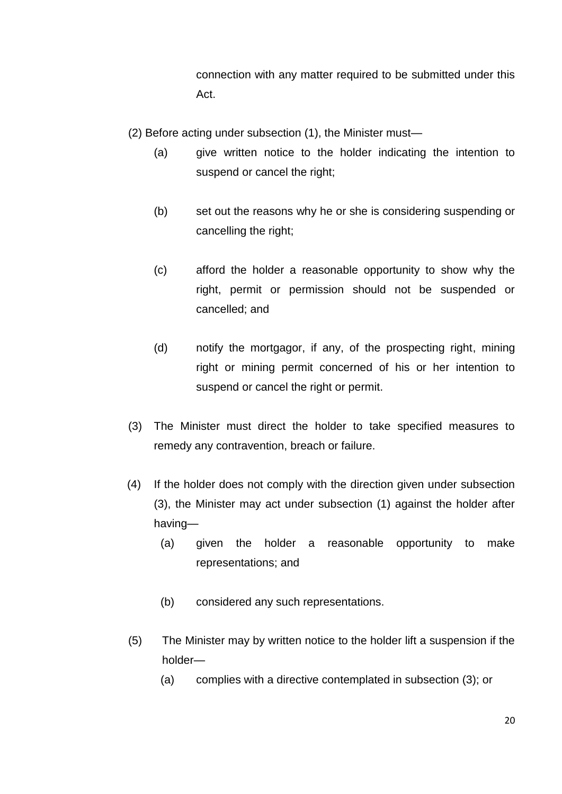connection with any matter required to be submitted under this Act.

(2) Before acting under subsection (1), the Minister must—

- (a) give written notice to the holder indicating the intention to suspend or cancel the right;
- (b) set out the reasons why he or she is considering suspending or cancelling the right;
- (c) afford the holder a reasonable opportunity to show why the right, permit or permission should not be suspended or cancelled; and
- (d) notify the mortgagor, if any, of the prospecting right, mining right or mining permit concerned of his or her intention to suspend or cancel the right or permit.
- (3) The Minister must direct the holder to take specified measures to remedy any contravention, breach or failure.
- (4) If the holder does not comply with the direction given under subsection (3), the Minister may act under subsection (1) against the holder after having—
	- (a) given the holder a reasonable opportunity to make representations; and
	- (b) considered any such representations.
- (5) The Minister may by written notice to the holder lift a suspension if the holder—
	- (a) complies with a directive contemplated in subsection (3); or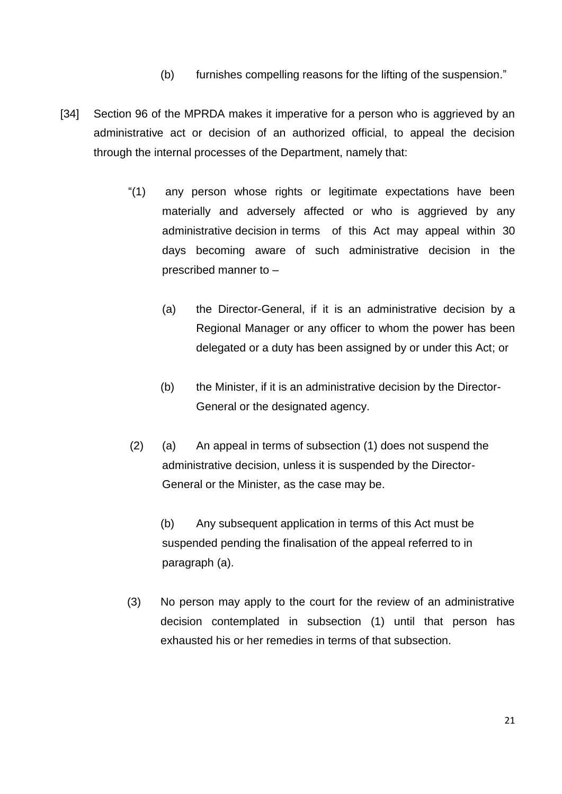- (b) furnishes compelling reasons for the lifting of the suspension."
- [34] Section 96 of the MPRDA makes it imperative for a person who is aggrieved by an administrative act or decision of an authorized official, to appeal the decision through the internal processes of the Department, namely that:
	- "(1) any person whose rights or legitimate expectations have been materially and adversely affected or who is aggrieved by any administrative decision in terms of this Act may appeal within 30 days becoming aware of such administrative decision in the prescribed manner to –
		- (a) the Director-General, if it is an administrative decision by a Regional Manager or any officer to whom the power has been delegated or a duty has been assigned by or under this Act; or
		- (b) the Minister, if it is an administrative decision by the Director-General or the designated agency.
	- (2) (a) An appeal in terms of subsection (1) does not suspend the administrative decision, unless it is suspended by the Director-General or the Minister, as the case may be.

(b) Any subsequent application in terms of this Act must be suspended pending the finalisation of the appeal referred to in paragraph (a).

(3) No person may apply to the court for the review of an administrative decision contemplated in subsection (1) until that person has exhausted his or her remedies in terms of that subsection.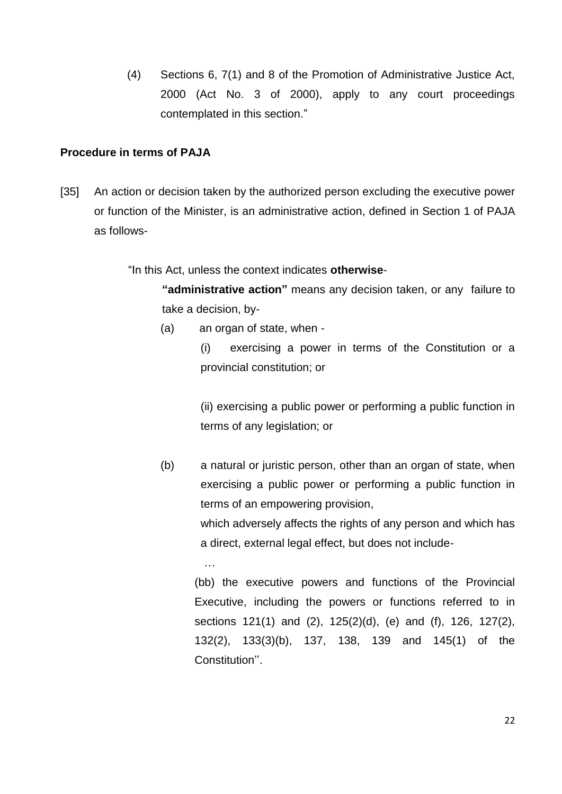(4) Sections 6, 7(1) and 8 of the Promotion of Administrative Justice Act, 2000 (Act No. 3 of 2000), apply to any court proceedings contemplated in this section."

#### **Procedure in terms of PAJA**

[35] An action or decision taken by the authorized person excluding the executive power or function of the Minister, is an administrative action, defined in Section 1 of PAJA as follows-

"In this Act, unless the context indicates **otherwise**-

**"administrative action"** means any decision taken, or any failure to take a decision, by-

(a) an organ of state, when -

(i) exercising a power in terms of the Constitution or a provincial constitution; or

(ii) exercising a public power or performing a public function in terms of any legislation; or

(b) a natural or juristic person, other than an organ of state, when exercising a public power or performing a public function in terms of an empowering provision,

> which adversely affects the rights of any person and which has a direct, external legal effect, but does not include-

…

(bb) the executive powers and functions of the Provincial Executive, including the powers or functions referred to in sections 121(1) and (2), 125(2)(d), (e) and (f), 126, 127(2), 132(2), 133(3)(b), 137, 138, 139 and 145(1) of the Constitution''.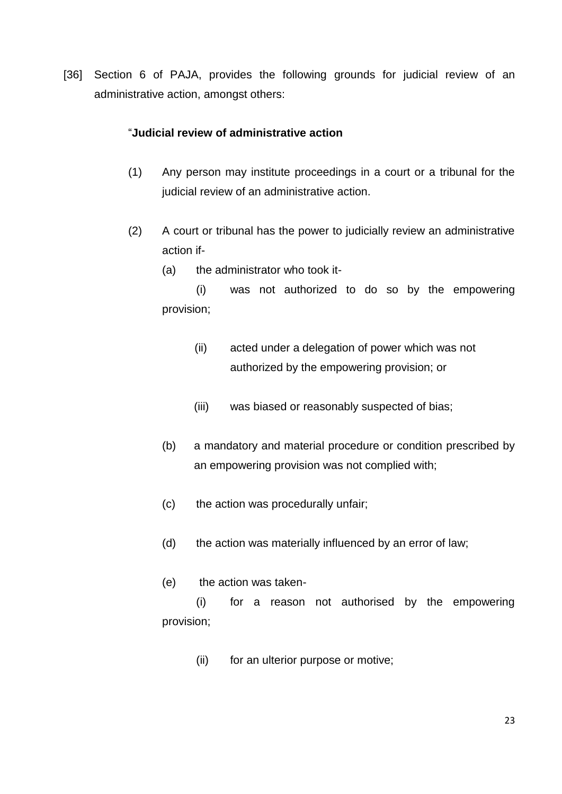[36] Section 6 of PAJA, provides the following grounds for judicial review of an administrative action, amongst others:

#### "**Judicial review of administrative action**

- (1) Any person may institute proceedings in a court or a tribunal for the judicial review of an administrative action.
- (2) A court or tribunal has the power to judicially review an administrative action if-
	- (a) the administrator who took it-

(i) was not authorized to do so by the empowering provision;

- (ii) acted under a delegation of power which was not authorized by the empowering provision; or
- (iii) was biased or reasonably suspected of bias;
- (b) a mandatory and material procedure or condition prescribed by an empowering provision was not complied with;
- (c) the action was procedurally unfair;
- (d) the action was materially influenced by an error of law;
- (e) the action was taken-

(i) for a reason not authorised by the empowering provision;

(ii) for an ulterior purpose or motive;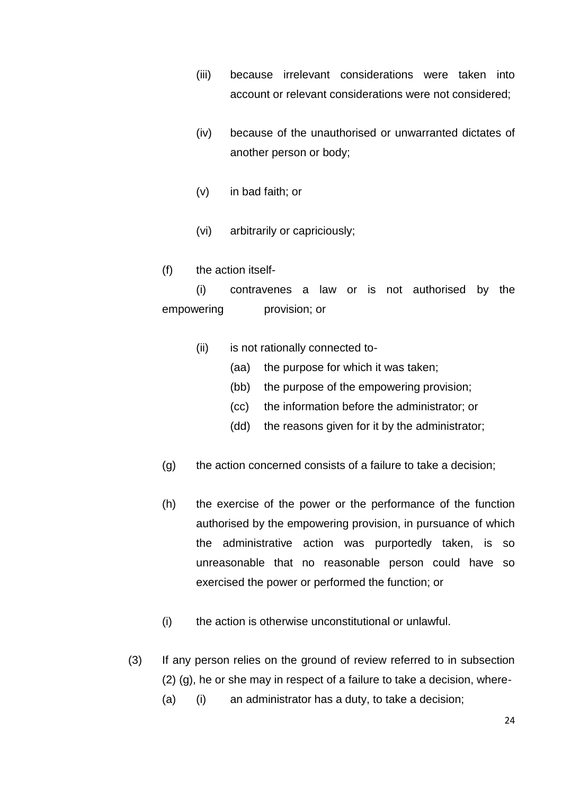- (iii) because irrelevant considerations were taken into account or relevant considerations were not considered;
- (iv) because of the unauthorised or unwarranted dictates of another person or body;
- (v) in bad faith; or
- (vi) arbitrarily or capriciously;
- (f) the action itself-

(i) contravenes a law or is not authorised by the empowering provision; or

- (ii) is not rationally connected to-
	- (aa) the purpose for which it was taken;
	- (bb) the purpose of the empowering provision;
	- (cc) the information before the administrator; or
	- (dd) the reasons given for it by the administrator;
- (g) the action concerned consists of a failure to take a decision;
- (h) the exercise of the power or the performance of the function authorised by the empowering provision, in pursuance of which the administrative action was purportedly taken, is so unreasonable that no reasonable person could have so exercised the power or performed the function; or
- (i) the action is otherwise unconstitutional or unlawful.
- (3) If any person relies on the ground of review referred to in subsection (2) (g), he or she may in respect of a failure to take a decision, where-
	- (a) (i) an administrator has a duty, to take a decision;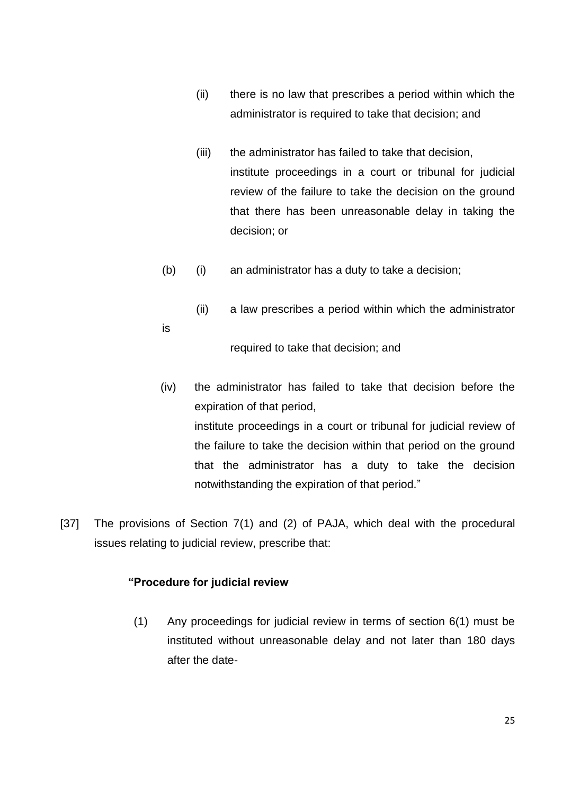- (ii) there is no law that prescribes a period within which the administrator is required to take that decision; and
- (iii) the administrator has failed to take that decision, institute proceedings in a court or tribunal for judicial review of the failure to take the decision on the ground that there has been unreasonable delay in taking the decision; or
- (b) (i) an administrator has a duty to take a decision;
	- (ii) a law prescribes a period within which the administrator

is

required to take that decision; and

(iv) the administrator has failed to take that decision before the expiration of that period, institute proceedings in a court or tribunal for judicial review of

the failure to take the decision within that period on the ground that the administrator has a duty to take the decision notwithstanding the expiration of that period."

[37] The provisions of Section 7(1) and (2) of PAJA, which deal with the procedural issues relating to judicial review, prescribe that:

#### **"Procedure for judicial review**

(1) Any proceedings for judicial review in terms of section 6(1) must be instituted without unreasonable delay and not later than 180 days after the date-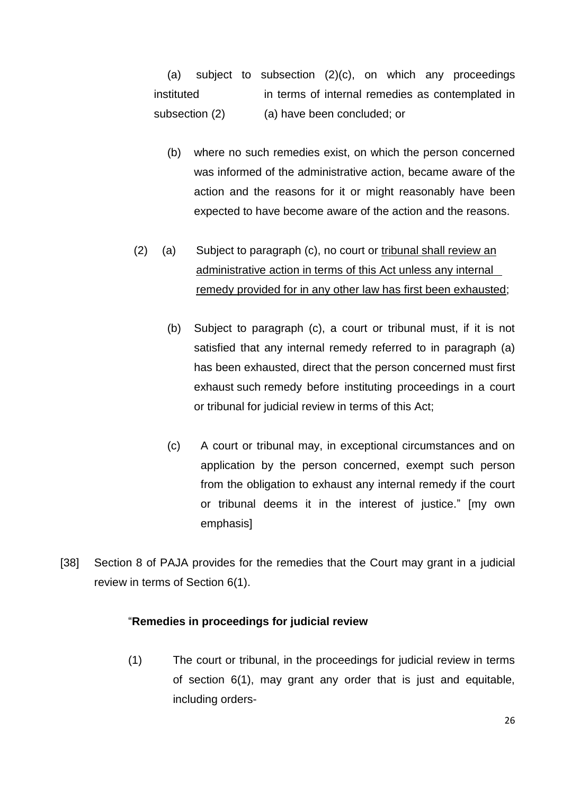(a) subject to subsection (2)(c), on which any proceedings instituted in terms of internal remedies as contemplated in subsection (2) (a) have been concluded; or

- (b) where no such remedies exist, on which the person concerned was informed of the administrative action, became aware of the action and the reasons for it or might reasonably have been expected to have become aware of the action and the reasons.
- (2) (a) Subject to paragraph (c), no court or tribunal shall review an administrative action in terms of this Act unless any internal remedy provided for in any other law has first been exhausted;
	- (b) Subject to paragraph (c), a court or tribunal must, if it is not satisfied that any internal remedy referred to in paragraph (a) has been exhausted, direct that the person concerned must first exhaust such remedy before instituting proceedings in a court or tribunal for judicial review in terms of this Act;
	- (c) A court or tribunal may, in exceptional circumstances and on application by the person concerned, exempt such person from the obligation to exhaust any internal remedy if the court or tribunal deems it in the interest of justice." [my own emphasis]
- [38] Section 8 of PAJA provides for the remedies that the Court may grant in a judicial review in terms of Section 6(1).

#### "**Remedies in proceedings for judicial review**

(1) The court or tribunal, in the proceedings for judicial review in terms of section 6(1), may grant any order that is just and equitable, including orders-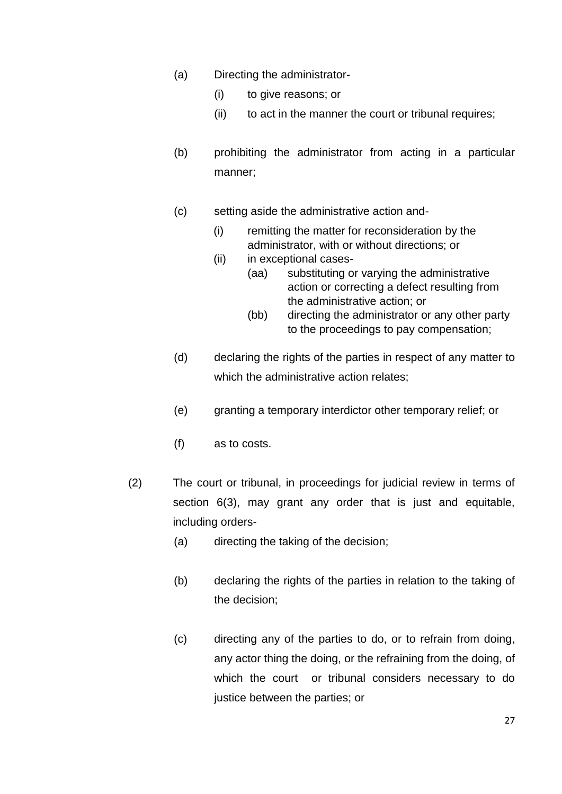- (a) Directing the administrator-
	- (i) to give reasons; or
	- (ii) to act in the manner the court or tribunal requires;
- (b) prohibiting the administrator from acting in a particular manner;
- (c) setting aside the administrative action and-
	- (i) remitting the matter for reconsideration by the administrator, with or without directions; or
	- (ii) in exceptional cases-
		- (aa) substituting or varying the administrative action or correcting a defect resulting from the administrative action; or
			- (bb) directing the administrator or any other party to the proceedings to pay compensation;
- (d) declaring the rights of the parties in respect of any matter to which the administrative action relates:
- (e) granting a temporary interdictor other temporary relief; or
- (f) as to costs.
- (2) The court or tribunal, in proceedings for judicial review in terms of section 6(3), may grant any order that is just and equitable, including orders-
	- (a) directing the taking of the decision;
	- (b) declaring the rights of the parties in relation to the taking of the decision;
	- (c) directing any of the parties to do, or to refrain from doing, any actor thing the doing, or the refraining from the doing, of which the court or tribunal considers necessary to do justice between the parties; or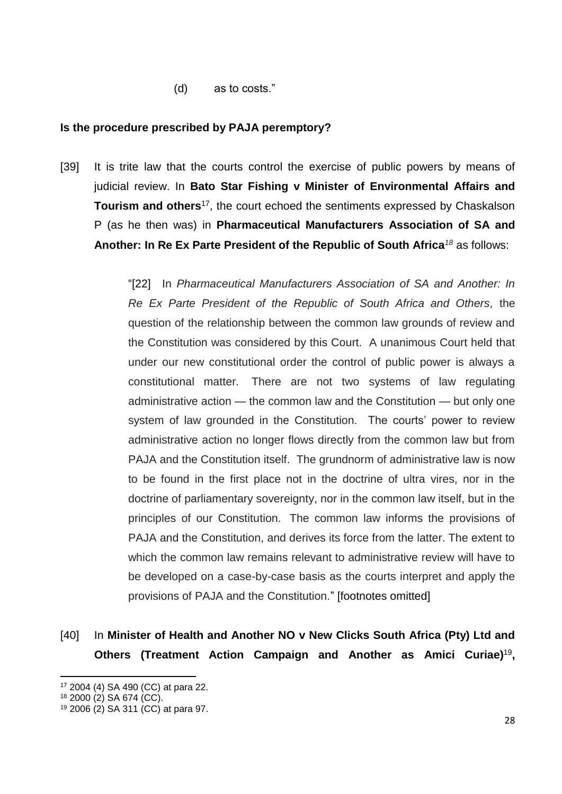(d) as to costs."

#### **Is the procedure prescribed by PAJA peremptory?**

[39] It is trite law that the courts control the exercise of public powers by means of judicial review. In **Bato Star Fishing v Minister of Environmental Affairs and Tourism and others**<sup>17</sup>, the court echoed the sentiments expressed by Chaskalson P (as he then was) in **Pharmaceutical Manufacturers Association of SA and Another: In Re Ex Parte President of the Republic of South Africa***<sup>18</sup>* as follows:

> "[22] In *Pharmaceutical Manufacturers Association of SA and Another: In Re Ex Parte President of the Republic of South Africa and Others,* the question of the relationship between the common law grounds of review and the Constitution was considered by this Court. A unanimous Court held that under our new constitutional order the control of public power is always a constitutional matter. There are not two systems of law regulating administrative action — the common law and the Constitution — but only one system of law grounded in the Constitution. The courts' power to review administrative action no longer flows directly from the common law but from PAJA and the Constitution itself. The grundnorm of administrative law is now to be found in the first place not in the doctrine of ultra vires, nor in the doctrine of parliamentary sovereignty, nor in the common law itself, but in the principles of our Constitution. The common law informs the provisions of PAJA and the Constitution, and derives its force from the latter. The extent to which the common law remains relevant to administrative review will have to be developed on a case-by-case basis as the courts interpret and apply the provisions of PAJA and the Constitution." [footnotes omitted]

[40] In **Minister of Health and Another NO v New Clicks South Africa (Pty) Ltd and Others (Treatment Action Campaign and Another as Amici Curiae)**<sup>19</sup> **,** 

<sup>17</sup> 2004 (4) SA 490 (CC) at para 22.

<sup>18</sup> 2000 (2) SA 674 (CC).

<sup>19</sup> 2006 (2) SA 311 (CC) at para 97.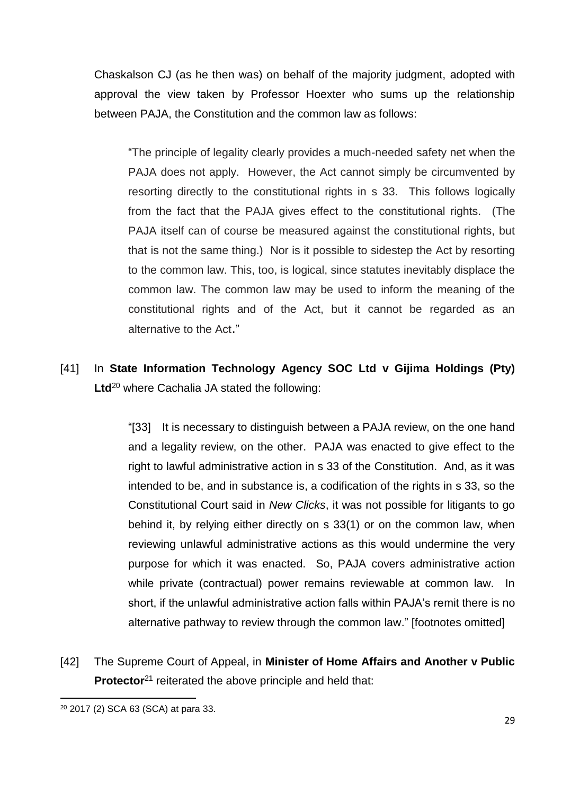Chaskalson CJ (as he then was) on behalf of the majority judgment, adopted with approval the view taken by Professor Hoexter who sums up the relationship between PAJA, the Constitution and the common law as follows:

"The principle of legality clearly provides a much-needed safety net when the PAJA does not apply. However, the Act cannot simply be circumvented by resorting directly to the constitutional rights in s 33. This follows logically from the fact that the PAJA gives effect to the constitutional rights. (The PAJA itself can of course be measured against the constitutional rights, but that is not the same thing.) Nor is it possible to sidestep the Act by resorting to the common law. This, too, is logical, since statutes inevitably displace the common law. The common law may be used to inform the meaning of the constitutional rights and of the Act, but it cannot be regarded as an alternative to the Act."

[41] In **State Information Technology Agency SOC Ltd v Gijima Holdings (Pty) Ltd**<sup>20</sup> where Cachalia JA stated the following:

> "[33] It is necessary to distinguish between a PAJA review, on the one hand and a legality review, on the other. PAJA was enacted to give effect to the right to lawful administrative action in s 33 of the Constitution. And, as it was intended to be, and in substance is, a codification of the rights in s 33, so the Constitutional Court said in *New Clicks*, it was not possible for litigants to go behind it, by relying either directly on s 33(1) or on the common law, when reviewing unlawful administrative actions as this would undermine the very purpose for which it was enacted. So, PAJA covers administrative action while private (contractual) power remains reviewable at common law. In short, if the unlawful administrative action falls within PAJA's remit there is no alternative pathway to review through the common law." [footnotes omitted]

[42] The Supreme Court of Appeal, in **Minister of Home Affairs and Another v Public Protector**<sup>21</sup> reiterated the above principle and held that:

<sup>&</sup>lt;sup>20</sup> 2017 (2) SCA 63 (SCA) at para 33.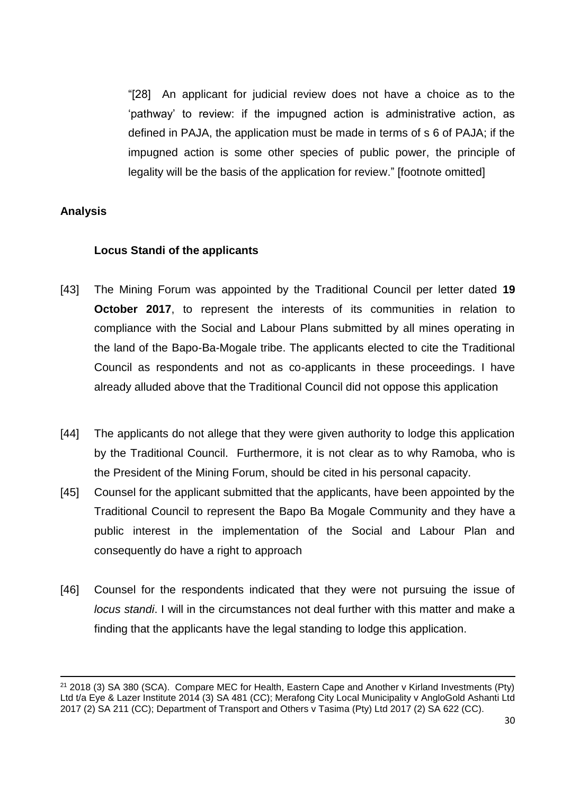"[28] An applicant for judicial review does not have a choice as to the 'pathway' to review: if the impugned action is administrative action, as defined in PAJA, the application must be made in terms of s 6 of PAJA; if the impugned action is some other species of public power, the principle of legality will be the basis of the application for review." [footnote omitted]

## **Analysis**

 $\overline{\phantom{a}}$ 

#### **Locus Standi of the applicants**

- [43] The Mining Forum was appointed by the Traditional Council per letter dated **19 October 2017**, to represent the interests of its communities in relation to compliance with the Social and Labour Plans submitted by all mines operating in the land of the Bapo-Ba-Mogale tribe. The applicants elected to cite the Traditional Council as respondents and not as co-applicants in these proceedings. I have already alluded above that the Traditional Council did not oppose this application
- [44] The applicants do not allege that they were given authority to lodge this application by the Traditional Council. Furthermore, it is not clear as to why Ramoba, who is the President of the Mining Forum, should be cited in his personal capacity.
- [45] Counsel for the applicant submitted that the applicants, have been appointed by the Traditional Council to represent the Bapo Ba Mogale Community and they have a public interest in the implementation of the Social and Labour Plan and consequently do have a right to approach
- [46] Counsel for the respondents indicated that they were not pursuing the issue of *locus standi*. I will in the circumstances not deal further with this matter and make a finding that the applicants have the legal standing to lodge this application.

<sup>21</sup> 2018 (3) SA 380 (SCA). Compare MEC for Health, Eastern Cape and Another v Kirland Investments (Pty) Ltd t/a Eye & Lazer Institute 2014 (3) SA 481 (CC); Merafong City Local Municipality v AngloGold Ashanti Ltd 2017 (2) SA 211 (CC); Department of Transport and Others v Tasima (Pty) Ltd 2017 (2) SA 622 (CC).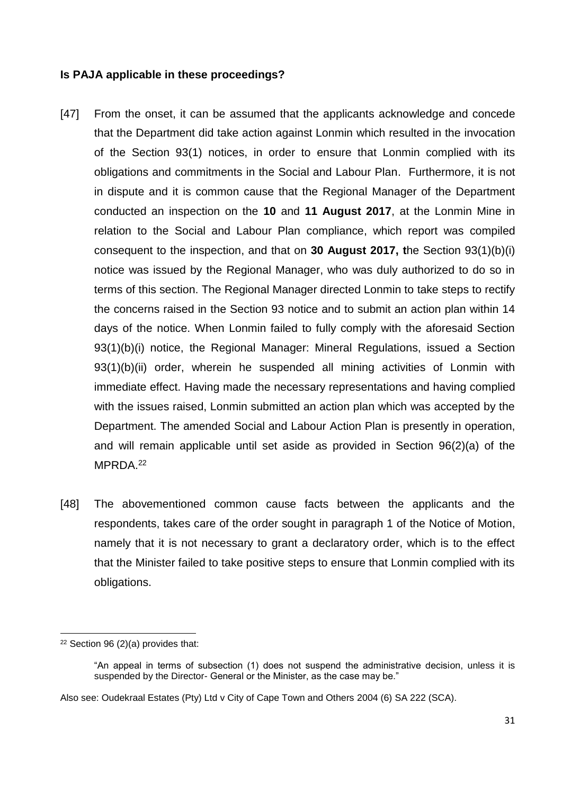#### **Is PAJA applicable in these proceedings?**

- [47] From the onset, it can be assumed that the applicants acknowledge and concede that the Department did take action against Lonmin which resulted in the invocation of the Section 93(1) notices, in order to ensure that Lonmin complied with its obligations and commitments in the Social and Labour Plan. Furthermore, it is not in dispute and it is common cause that the Regional Manager of the Department conducted an inspection on the **10** and **11 August 2017**, at the Lonmin Mine in relation to the Social and Labour Plan compliance, which report was compiled consequent to the inspection, and that on **30 August 2017, t**he Section 93(1)(b)(i) notice was issued by the Regional Manager, who was duly authorized to do so in terms of this section. The Regional Manager directed Lonmin to take steps to rectify the concerns raised in the Section 93 notice and to submit an action plan within 14 days of the notice. When Lonmin failed to fully comply with the aforesaid Section 93(1)(b)(i) notice, the Regional Manager: Mineral Regulations, issued a Section 93(1)(b)(ii) order, wherein he suspended all mining activities of Lonmin with immediate effect. Having made the necessary representations and having complied with the issues raised, Lonmin submitted an action plan which was accepted by the Department. The amended Social and Labour Action Plan is presently in operation, and will remain applicable until set aside as provided in Section 96(2)(a) of the MPRDA.<sup>22</sup>
- [48] The abovementioned common cause facts between the applicants and the respondents, takes care of the order sought in paragraph 1 of the Notice of Motion, namely that it is not necessary to grant a declaratory order, which is to the effect that the Minister failed to take positive steps to ensure that Lonmin complied with its obligations.

 $\overline{\phantom{a}}$  $22$  Section 96 (2)(a) provides that:

<sup>&</sup>quot;An appeal in terms of subsection (1) does not suspend the administrative decision, unless it is suspended by the Director- General or the Minister, as the case may be."

Also see: Oudekraal Estates (Pty) Ltd v City of Cape Town and Others 2004 (6) SA 222 (SCA).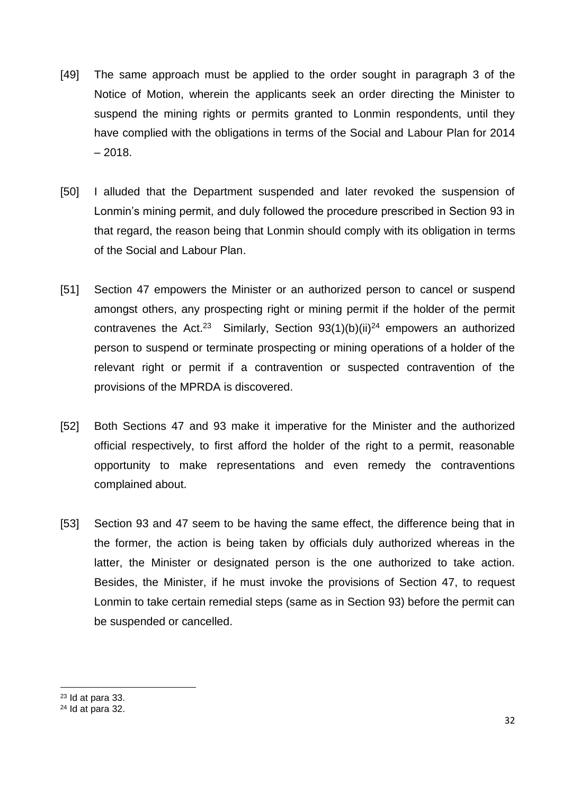- [49] The same approach must be applied to the order sought in paragraph 3 of the Notice of Motion, wherein the applicants seek an order directing the Minister to suspend the mining rights or permits granted to Lonmin respondents, until they have complied with the obligations in terms of the Social and Labour Plan for 2014  $-2018.$
- [50] I alluded that the Department suspended and later revoked the suspension of Lonmin's mining permit, and duly followed the procedure prescribed in Section 93 in that regard, the reason being that Lonmin should comply with its obligation in terms of the Social and Labour Plan.
- [51] Section 47 empowers the Minister or an authorized person to cancel or suspend amongst others, any prospecting right or mining permit if the holder of the permit contravenes the Act.<sup>23</sup> Similarly, Section  $93(1)(b)(ii)^{24}$  empowers an authorized person to suspend or terminate prospecting or mining operations of a holder of the relevant right or permit if a contravention or suspected contravention of the provisions of the MPRDA is discovered.
- [52] Both Sections 47 and 93 make it imperative for the Minister and the authorized official respectively, to first afford the holder of the right to a permit, reasonable opportunity to make representations and even remedy the contraventions complained about.
- [53] Section 93 and 47 seem to be having the same effect, the difference being that in the former, the action is being taken by officials duly authorized whereas in the latter, the Minister or designated person is the one authorized to take action. Besides, the Minister, if he must invoke the provisions of Section 47, to request Lonmin to take certain remedial steps (same as in Section 93) before the permit can be suspended or cancelled.

 $\overline{a}$ <sup>23</sup> Id at para 33.

 $24$  Id at para 32.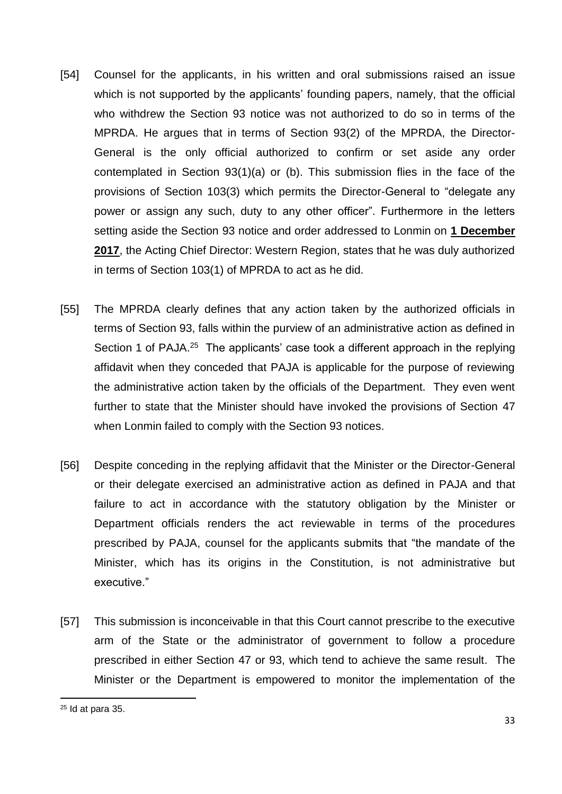- [54] Counsel for the applicants, in his written and oral submissions raised an issue which is not supported by the applicants' founding papers, namely, that the official who withdrew the Section 93 notice was not authorized to do so in terms of the MPRDA. He argues that in terms of Section 93(2) of the MPRDA, the Director-General is the only official authorized to confirm or set aside any order contemplated in Section 93(1)(a) or (b). This submission flies in the face of the provisions of Section 103(3) which permits the Director-General to "delegate any power or assign any such, duty to any other officer". Furthermore in the letters setting aside the Section 93 notice and order addressed to Lonmin on **1 December 2017**, the Acting Chief Director: Western Region, states that he was duly authorized in terms of Section 103(1) of MPRDA to act as he did.
- [55] The MPRDA clearly defines that any action taken by the authorized officials in terms of Section 93, falls within the purview of an administrative action as defined in Section 1 of PAJA.<sup>25</sup> The applicants' case took a different approach in the replying affidavit when they conceded that PAJA is applicable for the purpose of reviewing the administrative action taken by the officials of the Department. They even went further to state that the Minister should have invoked the provisions of Section 47 when Lonmin failed to comply with the Section 93 notices.
- [56] Despite conceding in the replying affidavit that the Minister or the Director-General or their delegate exercised an administrative action as defined in PAJA and that failure to act in accordance with the statutory obligation by the Minister or Department officials renders the act reviewable in terms of the procedures prescribed by PAJA, counsel for the applicants submits that "the mandate of the Minister, which has its origins in the Constitution, is not administrative but executive."
- [57] This submission is inconceivable in that this Court cannot prescribe to the executive arm of the State or the administrator of government to follow a procedure prescribed in either Section 47 or 93, which tend to achieve the same result. The Minister or the Department is empowered to monitor the implementation of the

 $25$  Id at para 35.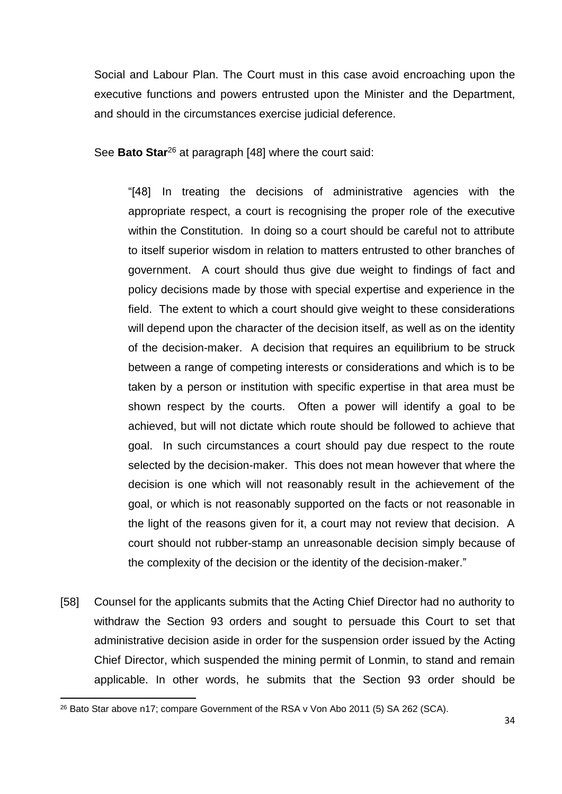Social and Labour Plan. The Court must in this case avoid encroaching upon the executive functions and powers entrusted upon the Minister and the Department, and should in the circumstances exercise judicial deference.

See **Bato Star**<sup>26</sup> at paragraph [48] where the court said:

"[48] In treating the decisions of administrative agencies with the appropriate respect, a court is recognising the proper role of the executive within the Constitution. In doing so a court should be careful not to attribute to itself superior wisdom in relation to matters entrusted to other branches of government. A court should thus give due weight to findings of fact and policy decisions made by those with special expertise and experience in the field. The extent to which a court should give weight to these considerations will depend upon the character of the decision itself, as well as on the identity of the decision-maker. A decision that requires an equilibrium to be struck between a range of competing interests or considerations and which is to be taken by a person or institution with specific expertise in that area must be shown respect by the courts. Often a power will identify a goal to be achieved, but will not dictate which route should be followed to achieve that goal. In such circumstances a court should pay due respect to the route selected by the decision-maker. This does not mean however that where the decision is one which will not reasonably result in the achievement of the goal, or which is not reasonably supported on the facts or not reasonable in the light of the reasons given for it, a court may not review that decision. A court should not rubber-stamp an unreasonable decision simply because of the complexity of the decision or the identity of the decision-maker."

[58] Counsel for the applicants submits that the Acting Chief Director had no authority to withdraw the Section 93 orders and sought to persuade this Court to set that administrative decision aside in order for the suspension order issued by the Acting Chief Director, which suspended the mining permit of Lonmin, to stand and remain applicable. In other words, he submits that the Section 93 order should be

<sup>&</sup>lt;sup>26</sup> Bato Star above n17; compare Government of the RSA v Von Abo 2011 (5) SA 262 (SCA).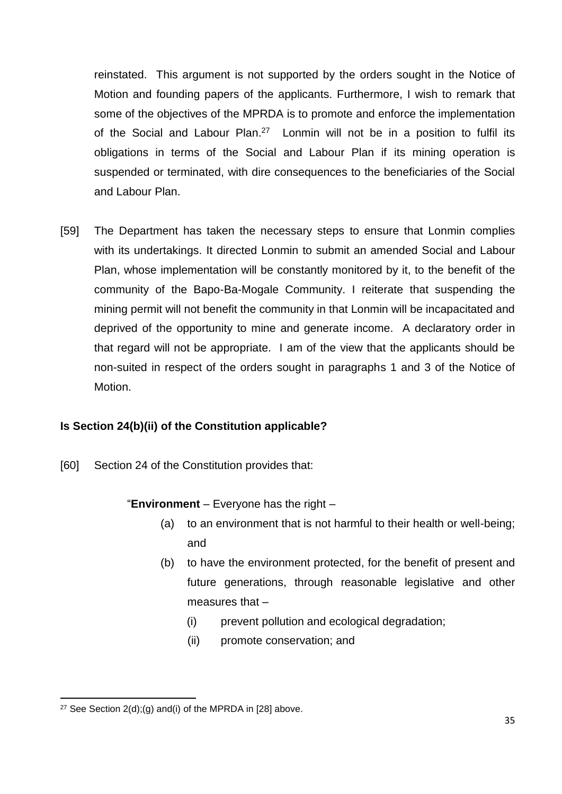reinstated. This argument is not supported by the orders sought in the Notice of Motion and founding papers of the applicants. Furthermore, I wish to remark that some of the objectives of the MPRDA is to promote and enforce the implementation of the Social and Labour Plan.<sup>27</sup> Lonmin will not be in a position to fulfil its obligations in terms of the Social and Labour Plan if its mining operation is suspended or terminated, with dire consequences to the beneficiaries of the Social and Labour Plan.

[59] The Department has taken the necessary steps to ensure that Lonmin complies with its undertakings. It directed Lonmin to submit an amended Social and Labour Plan, whose implementation will be constantly monitored by it, to the benefit of the community of the Bapo-Ba-Mogale Community. I reiterate that suspending the mining permit will not benefit the community in that Lonmin will be incapacitated and deprived of the opportunity to mine and generate income. A declaratory order in that regard will not be appropriate. I am of the view that the applicants should be non-suited in respect of the orders sought in paragraphs 1 and 3 of the Notice of Motion.

# **Is Section 24(b)(ii) of the Constitution applicable?**

[60] Section 24 of the Constitution provides that:

#### "**Environment** – Everyone has the right –

- (a) to an environment that is not harmful to their health or well-being; and
- (b) to have the environment protected, for the benefit of present and future generations, through reasonable legislative and other measures that –
	- (i) prevent pollution and ecological degradation;
	- (ii) promote conservation; and

<sup>&</sup>lt;sup>27</sup> See Section  $2(d):(a)$  and(i) of the MPRDA in [28] above.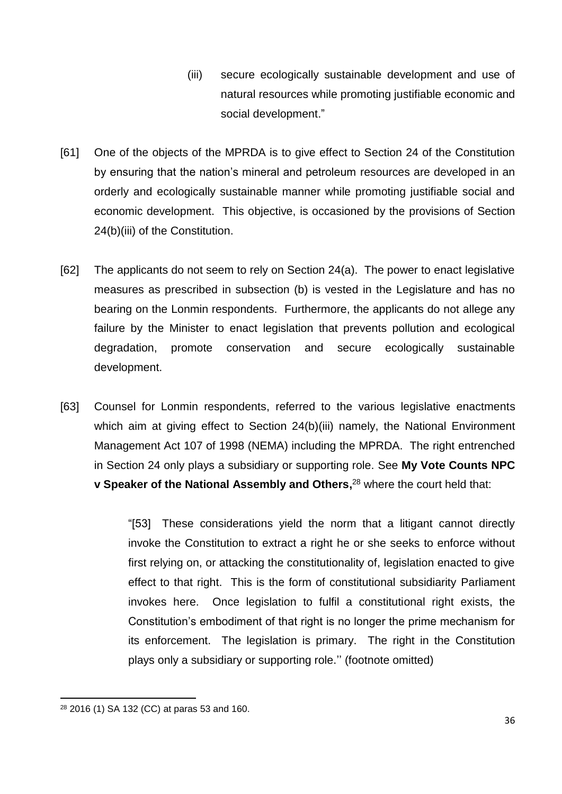- (iii) secure ecologically sustainable development and use of natural resources while promoting justifiable economic and social development."
- [61] One of the objects of the MPRDA is to give effect to Section 24 of the Constitution by ensuring that the nation's mineral and petroleum resources are developed in an orderly and ecologically sustainable manner while promoting justifiable social and economic development. This objective, is occasioned by the provisions of Section 24(b)(iii) of the Constitution.
- [62] The applicants do not seem to rely on Section 24(a). The power to enact legislative measures as prescribed in subsection (b) is vested in the Legislature and has no bearing on the Lonmin respondents. Furthermore, the applicants do not allege any failure by the Minister to enact legislation that prevents pollution and ecological degradation, promote conservation and secure ecologically sustainable development.
- [63] Counsel for Lonmin respondents, referred to the various legislative enactments which aim at giving effect to Section 24(b)(iii) namely, the National Environment Management Act 107 of 1998 (NEMA) including the MPRDA. The right entrenched in Section 24 only plays a subsidiary or supporting role. See **My Vote Counts NPC v Speaker of the National Assembly and Others,** <sup>28</sup> where the court held that:

"[53] These considerations yield the norm that a litigant cannot directly invoke the Constitution to extract a right he or she seeks to enforce without first relying on, or attacking the constitutionality of, legislation enacted to give effect to that right. This is the form of constitutional subsidiarity Parliament invokes here. Once legislation to fulfil a constitutional right exists, the Constitution's embodiment of that right is no longer the prime mechanism for its enforcement. The legislation is primary. The right in the Constitution plays only a subsidiary or supporting role.'' (footnote omitted)

<sup>&</sup>lt;sup>28</sup> 2016 (1) SA 132 (CC) at paras 53 and 160.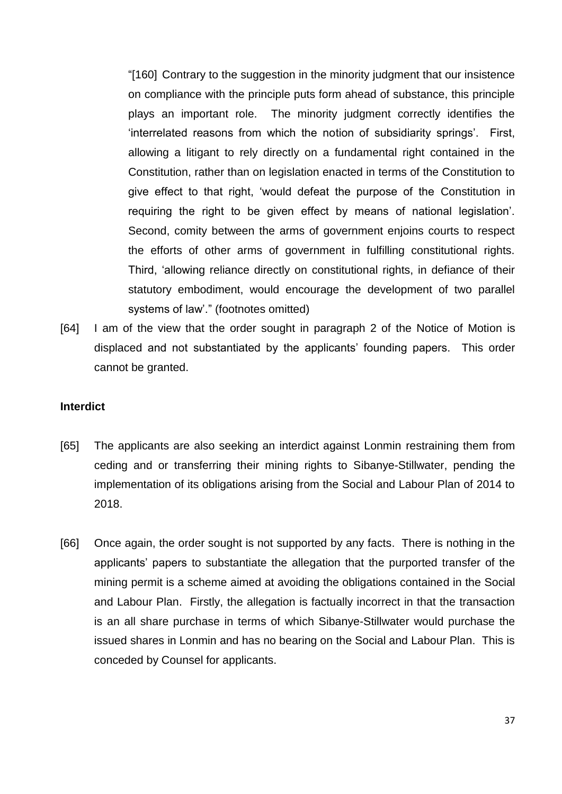"[160] Contrary to the suggestion in the minority judgment that our insistence on compliance with the principle puts form ahead of substance, this principle plays an important role. The minority judgment correctly identifies the 'interrelated reasons from which the notion of subsidiarity springs'. First, allowing a litigant to rely directly on a fundamental right contained in the Constitution, rather than on legislation enacted in terms of the Constitution to give effect to that right, 'would defeat the purpose of the Constitution in requiring the right to be given effect by means of national legislation'. Second, comity between the arms of government enjoins courts to respect the efforts of other arms of government in fulfilling constitutional rights. Third, 'allowing reliance directly on constitutional rights, in defiance of their statutory embodiment, would encourage the development of two parallel systems of law'." (footnotes omitted)

[64] I am of the view that the order sought in paragraph 2 of the Notice of Motion is displaced and not substantiated by the applicants' founding papers. This order cannot be granted.

#### **Interdict**

- [65] The applicants are also seeking an interdict against Lonmin restraining them from ceding and or transferring their mining rights to Sibanye-Stillwater, pending the implementation of its obligations arising from the Social and Labour Plan of 2014 to 2018.
- [66] Once again, the order sought is not supported by any facts. There is nothing in the applicants' papers to substantiate the allegation that the purported transfer of the mining permit is a scheme aimed at avoiding the obligations contained in the Social and Labour Plan. Firstly, the allegation is factually incorrect in that the transaction is an all share purchase in terms of which Sibanye-Stillwater would purchase the issued shares in Lonmin and has no bearing on the Social and Labour Plan. This is conceded by Counsel for applicants.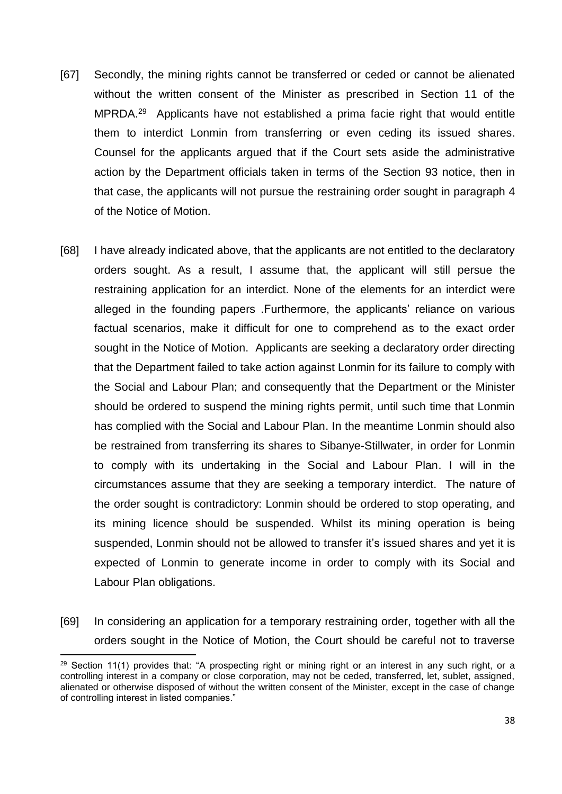- [67] Secondly, the mining rights cannot be transferred or ceded or cannot be alienated without the written consent of the Minister as prescribed in Section 11 of the MPRDA.<sup>29</sup> Applicants have not established a prima facie right that would entitle them to interdict Lonmin from transferring or even ceding its issued shares. Counsel for the applicants argued that if the Court sets aside the administrative action by the Department officials taken in terms of the Section 93 notice, then in that case, the applicants will not pursue the restraining order sought in paragraph 4 of the Notice of Motion.
- [68] I have already indicated above, that the applicants are not entitled to the declaratory orders sought. As a result, I assume that, the applicant will still persue the restraining application for an interdict. None of the elements for an interdict were alleged in the founding papers .Furthermore, the applicants' reliance on various factual scenarios, make it difficult for one to comprehend as to the exact order sought in the Notice of Motion. Applicants are seeking a declaratory order directing that the Department failed to take action against Lonmin for its failure to comply with the Social and Labour Plan; and consequently that the Department or the Minister should be ordered to suspend the mining rights permit, until such time that Lonmin has complied with the Social and Labour Plan. In the meantime Lonmin should also be restrained from transferring its shares to Sibanye-Stillwater, in order for Lonmin to comply with its undertaking in the Social and Labour Plan. I will in the circumstances assume that they are seeking a temporary interdict. The nature of the order sought is contradictory: Lonmin should be ordered to stop operating, and its mining licence should be suspended. Whilst its mining operation is being suspended, Lonmin should not be allowed to transfer it's issued shares and yet it is expected of Lonmin to generate income in order to comply with its Social and Labour Plan obligations.
- [69] In considering an application for a temporary restraining order, together with all the orders sought in the Notice of Motion, the Court should be careful not to traverse

<sup>&</sup>lt;sup>29</sup> Section 11(1) provides that: "A prospecting right or mining right or an interest in any such right, or a controlling interest in a company or close corporation, may not be ceded, transferred, let, sublet, assigned, alienated or otherwise disposed of without the written consent of the Minister, except in the case of change of controlling interest in listed companies."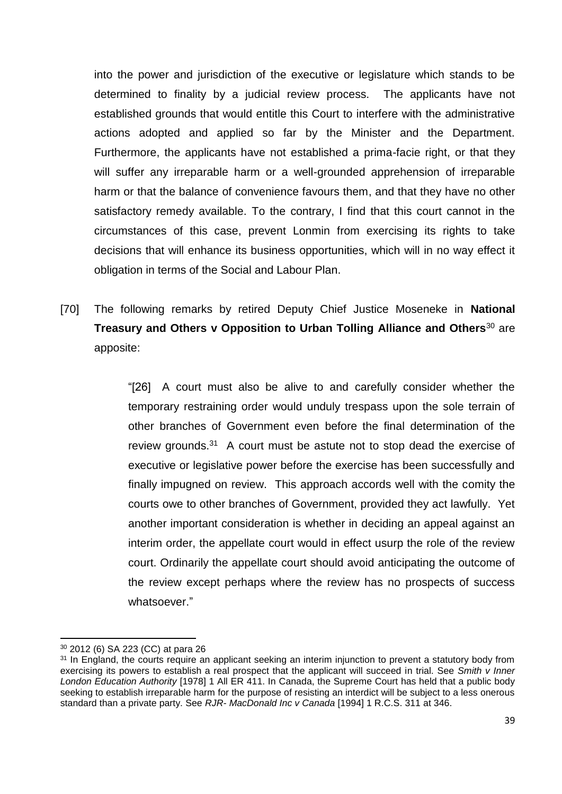into the power and jurisdiction of the executive or legislature which stands to be determined to finality by a judicial review process. The applicants have not established grounds that would entitle this Court to interfere with the administrative actions adopted and applied so far by the Minister and the Department. Furthermore, the applicants have not established a prima-facie right, or that they will suffer any irreparable harm or a well-grounded apprehension of irreparable harm or that the balance of convenience favours them, and that they have no other satisfactory remedy available. To the contrary, I find that this court cannot in the circumstances of this case, prevent Lonmin from exercising its rights to take decisions that will enhance its business opportunities, which will in no way effect it obligation in terms of the Social and Labour Plan.

[70] The following remarks by retired Deputy Chief Justice Moseneke in **National Treasury and Others v Opposition to Urban Tolling Alliance and Others**<sup>30</sup> are apposite:

> "[26] A court must also be alive to and carefully consider whether the temporary restraining order would unduly trespass upon the sole terrain of other branches of Government even before the final determination of the review grounds.<sup>31</sup> A court must be astute not to stop dead the exercise of executive or legislative power before the exercise has been successfully and finally impugned on review. This approach accords well with the comity the courts owe to other branches of Government, provided they act lawfully. Yet another important consideration is whether in deciding an appeal against an interim order, the appellate court would in effect usurp the role of the review court. Ordinarily the appellate court should avoid anticipating the outcome of the review except perhaps where the review has no prospects of success whatsoever."

 $\overline{\phantom{a}}$ <sup>30</sup> 2012 (6) SA 223 (CC) at para 26

<sup>&</sup>lt;sup>31</sup> In England, the courts require an applicant seeking an interim injunction to prevent a statutory body from exercising its powers to establish a real prospect that the applicant will succeed in trial. See *Smith v Inner London Education Authority* [1978] 1 All ER 411. In Canada, the Supreme Court has held that a public body seeking to establish irreparable harm for the purpose of resisting an interdict will be subject to a less onerous standard than a private party. See *RJR- MacDonald Inc v Canada* [1994] 1 R.C.S. 311 at 346.